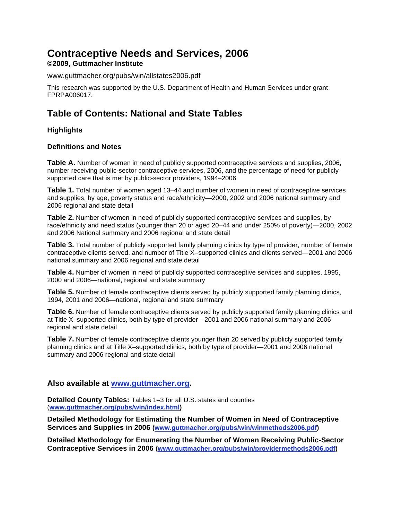# **Contraceptive Needs and Services, 2006**

### **©2009, Guttmacher Institute**

www.guttmacher.org/pubs/win/allstates2006.pdf

This research was supported by the U.S. Department of Health and Human Services under grant FPRPA006017.

### **Table of Contents: National and State Tables**

#### **Highlights**

#### **Definitions and Notes**

**[Table A.](#page-4-0)** Number of women in need of publicly supported contraceptive services and supplies, 2006, number receiving public-sector contraceptive services, 2006, and the percentage of need for publicly supported care that is met by public-sector providers, 1994–2006

**[Table 1.](#page-6-0)** Total number of women aged 13–44 and number of women in need of contraceptive services and supplies, by age, poverty status and race/ethnicity—2000, 2002 and 2006 national summary and 2006 regional and state detail

**[Table 2.](#page-8-0)** Number of women in need of publicly supported contraceptive services and supplies, by race/ethnicity and need status (younger than 20 or aged 20–44 and under 250% of poverty)—2000, 2002 and 2006 National summary and 2006 regional and state detail

**[Table 3.](#page-10-0)** Total number of publicly supported family planning clinics by type of provider, number of female contraceptive clients served, and number of Title X–supported clinics and clients served—2001 and 2006 national summary and 2006 regional and state detail

**[Table 4.](#page-12-0)** Number of women in need of publicly supported contraceptive services and supplies, 1995, 2000 and 2006—national, regional and state summary

**[Table 5.](#page-13-0)** Number of female contraceptive clients served by publicly supported family planning clinics, 1994, 2001 and 2006—national, regional and state summary

**[Table 6.](#page-14-0)** Number of female contraceptive clients served by publicly supported family planning clinics and at Title X–supported clinics, both by type of provider—2001 and 2006 national summary and 2006 regional and state detail

**[Table 7.](#page-16-0)** Number of female contraceptive clients younger than 20 served by publicly supported family planning clinics and at Title X–supported clinics, both by type of provider—2001 and 2006 national summary and 2006 regional and state detail

#### **Also available at www.guttmacher.org.**

**Detailed County Tables:** Tables 1–3 for all U.S. states and counties (**www.guttmacher.org/pubs/win/index.html)** 

**Detailed Methodology for Estimating the Number of Women in Need of Contraceptive Services and Supplies in 2006 (www.guttmacher.org/pubs/win/winmethods2006.pdf)** 

**Detailed Methodology for Enumerating the Number of Women Receiving Public-Sector Contraceptive Services in 2006 (www.guttmacher.org/pubs/win/providermethods2006.pdf)**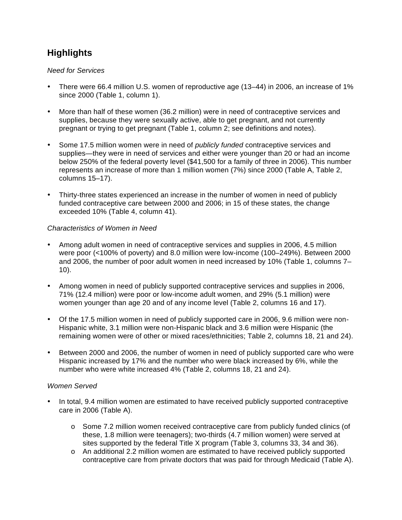# **Highlights**

#### *Need for Services*

- There were 66.4 million U.S. women of reproductive age (13–44) in 2006, an increase of 1% since 2000 (Table 1, column 1).
- More than half of these women (36.2 million) were in need of contraceptive services and supplies, because they were sexually active, able to get pregnant, and not currently pregnant or trying to get pregnant (Table 1, column 2; see definitions and notes).
- Some 17.5 million women were in need of *publicly funded* contraceptive services and supplies—they were in need of services and either were younger than 20 or had an income below 250% of the federal poverty level (\$41,500 for a family of three in 2006). This number represents an increase of more than 1 million women (7%) since 2000 (Table A, Table 2, columns 15–17).
- Thirty-three states experienced an increase in the number of women in need of publicly funded contraceptive care between 2000 and 2006; in 15 of these states, the change exceeded 10% (Table 4, column 41).

#### *Characteristics of Women in Need*

- Among adult women in need of contraceptive services and supplies in 2006, 4.5 million were poor (<100% of poverty) and 8.0 million were low-income (100–249%). Between 2000 and 2006, the number of poor adult women in need increased by 10% (Table 1, columns 7– 10).
- Among women in need of publicly supported contraceptive services and supplies in 2006, 71% (12.4 million) were poor or low-income adult women, and 29% (5.1 million) were women younger than age 20 and of any income level (Table 2, columns 16 and 17).
- Of the 17.5 million women in need of publicly supported care in 2006, 9.6 million were non-Hispanic white, 3.1 million were non-Hispanic black and 3.6 million were Hispanic (the remaining women were of other or mixed races/ethnicities; Table 2, columns 18, 21 and 24).
- Between 2000 and 2006, the number of women in need of publicly supported care who were Hispanic increased by 17% and the number who were black increased by 6%, while the number who were white increased 4% (Table 2, columns 18, 21 and 24).

#### *Women Served*

- In total, 9.4 million women are estimated to have received publicly supported contraceptive care in 2006 (Table A).
	- o Some 7.2 million women received contraceptive care from publicly funded clinics (of these, 1.8 million were teenagers); two-thirds (4.7 million women) were served at sites supported by the federal Title X program (Table 3, columns 33, 34 and 36).
	- o An additional 2.2 million women are estimated to have received publicly supported contraceptive care from private doctors that was paid for through Medicaid (Table A).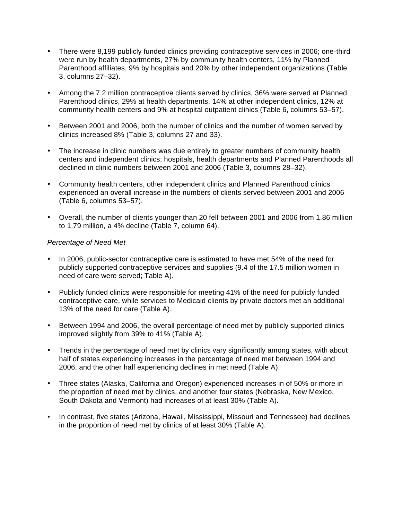- There were 8,199 publicly funded clinics providing contraceptive services in 2006; one-third were run by health departments, 27% by community health centers, 11% by Planned Parenthood affiliates, 9% by hospitals and 20% by other independent organizations (Table 3, columns 27–32).
- Among the 7.2 million contraceptive clients served by clinics, 36% were served at Planned Parenthood clinics, 29% at health departments, 14% at other independent clinics, 12% at community health centers and 9% at hospital outpatient clinics (Table 6, columns 53–57).
- Between 2001 and 2006, both the number of clinics and the number of women served by clinics increased 8% (Table 3, columns 27 and 33).
- The increase in clinic numbers was due entirely to greater numbers of community health centers and independent clinics; hospitals, health departments and Planned Parenthoods all declined in clinic numbers between 2001 and 2006 (Table 3, columns 28–32).
- Community health centers, other independent clinics and Planned Parenthood clinics experienced an overall increase in the numbers of clients served between 2001 and 2006 (Table 6, columns 53–57).
- Overall, the number of clients younger than 20 fell between 2001 and 2006 from 1.86 million to 1.79 million, a 4% decline (Table 7, column 64).

#### *Percentage of Need Met*

- In 2006, public-sector contraceptive care is estimated to have met 54% of the need for publicly supported contraceptive services and supplies (9.4 of the 17.5 million women in need of care were served; Table A).
- Publicly funded clinics were responsible for meeting 41% of the need for publicly funded contraceptive care, while services to Medicaid clients by private doctors met an additional 13% of the need for care (Table A).
- Between 1994 and 2006, the overall percentage of need met by publicly supported clinics improved slightly from 39% to 41% (Table A).
- Trends in the percentage of need met by clinics vary significantly among states, with about half of states experiencing increases in the percentage of need met between 1994 and 2006, and the other half experiencing declines in met need (Table A).
- Three states (Alaska, California and Oregon) experienced increases in of 50% or more in the proportion of need met by clinics, and another four states (Nebraska, New Mexico, South Dakota and Vermont) had increases of at least 30% (Table A).
- In contrast, five states (Arizona, Hawaii, Mississippi, Missouri and Tennessee) had declines in the proportion of need met by clinics of at least 30% (Table A).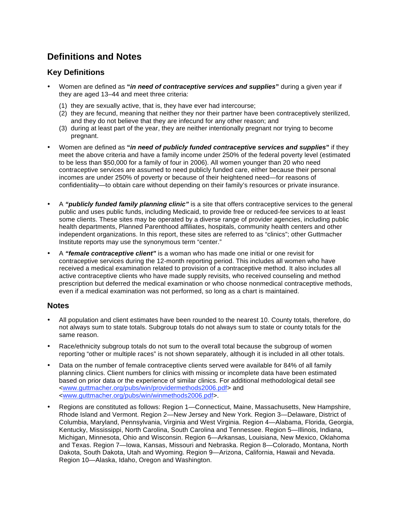# **Definitions and Notes**

### **Key Definitions**

- Women are defined as **"***in need of contraceptive services and supplies***"** during a given year if they are aged 13–44 and meet three criteria:
	- (1) they are sexually active, that is, they have ever had intercourse;
	- (2) they are fecund, meaning that neither they nor their partner have been contraceptively sterilized, and they do not believe that they are infecund for any other reason; and
	- (3) during at least part of the year, they are neither intentionally pregnant nor trying to become pregnant.
- Women are defined as **"***in need of publicly funded contraceptive services and supplies***"** if they meet the above criteria and have a family income under 250% of the federal poverty level (estimated to be less than \$50,000 for a family of four in 2006). All women younger than 20 who need contraceptive services are assumed to need publicly funded care, either because their personal incomes are under 250% of poverty or because of their heightened need—for reasons of confidentiality—to obtain care without depending on their family's resources or private insurance.
- A *"publicly funded family planning clinic"* is a site that offers contraceptive services to the general public and uses public funds, including Medicaid, to provide free or reduced-fee services to at least some clients. These sites may be operated by a diverse range of provider agencies, including public health departments, Planned Parenthood affiliates, hospitals, community health centers and other independent organizations. In this report, these sites are referred to as "clinics"; other Guttmacher Institute reports may use the synonymous term "center."
- A *"female contraceptive client"* is a woman who has made one initial or one revisit for contraceptive services during the 12-month reporting period. This includes all women who have received a medical examination related to provision of a contraceptive method. It also includes all active contraceptive clients who have made supply revisits, who received counseling and method prescription but deferred the medical examination or who choose nonmedical contraceptive methods, even if a medical examination was not performed, so long as a chart is maintained.

#### **Notes**

- All population and client estimates have been rounded to the nearest 10. County totals, therefore, do not always sum to state totals. Subgroup totals do not always sum to state or county totals for the same reason.
- Race/ethnicity subgroup totals do not sum to the overall total because the subgroup of women reporting "other or multiple races" is not shown separately, although it is included in all other totals.
- Data on the number of female contraceptive clients served were available for 84% of all family planning clinics. Client numbers for clinics with missing or incomplete data have been estimated based on prior data or the experience of similar clinics. For additional methodological detail see <www.guttmacher.org/pubs/win/providermethods2006.pdf> and <www.guttmacher.org/pubs/win/winmethods2006.pdf>.
- Regions are constituted as follows: Region 1—Connecticut, Maine, Massachusetts, New Hampshire, Rhode Island and Vermont. Region 2—New Jersey and New York. Region 3—Delaware, District of Columbia, Maryland, Pennsylvania, Virginia and West Virginia. Region 4—Alabama, Florida, Georgia, Kentucky, Mississippi, North Carolina, South Carolina and Tennessee. Region 5—Illinois, Indiana, Michigan, Minnesota, Ohio and Wisconsin. Region 6—Arkansas, Louisiana, New Mexico, Oklahoma and Texas. Region 7—Iowa, Kansas, Missouri and Nebraska. Region 8—Colorado, Montana, North Dakota, South Dakota, Utah and Wyoming. Region 9—Arizona, California, Hawaii and Nevada. Region 10—Alaska, Idaho, Oregon and Washington.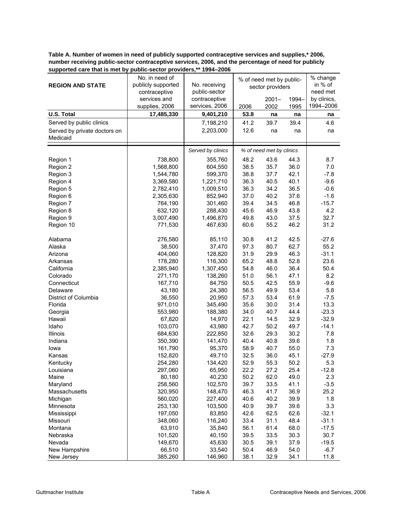<span id="page-4-0"></span>**Table A. Number of women in need of publicly supported contraceptive services and supplies,\* 2006, number receiving public-sector contraceptive services, 2006, and the percentage of need for publicly supported care that is met by public-sector providers,\*\* 1994–2006**

|                              | No. in need of     |                   |      | % of need met by public- |       | % change    |
|------------------------------|--------------------|-------------------|------|--------------------------|-------|-------------|
| <b>REGION AND STATE</b>      | publicly supported | No. receiving     |      | sector providers         |       | in % of     |
|                              | contraceptive      | public-sector     |      |                          |       | need met    |
|                              | services and       | contraceptive     |      | $2001 -$                 | 1994- | by clinics, |
|                              | supplies, 2006     | services, 2006    | 2006 | 2002                     | 1995  | 1994-2006   |
| <b>U.S. Total</b>            | 17,485,330         | 9,401,210         | 53.8 | na                       | na    | na          |
| Served by public clinics     |                    | 7,198,210         | 41.2 | 39.7                     | 39.4  | 4.6         |
| Served by private doctors on |                    | 2,203,000         | 12.6 | na                       | na    | na          |
| Medicaid                     |                    |                   |      |                          |       |             |
|                              |                    | Served by clinics |      |                          |       |             |
|                              |                    |                   |      | % of need met by clinics |       |             |
| Region 1                     | 738,800            | 355,760           | 48.2 | 43.6                     | 44.3  | 8.7         |
| Region 2                     | 1,568,800          | 604,550           | 38.5 | 35.7                     | 36.0  | 7.0         |
| Region 3                     | 1,544,780          | 599,370           | 38.8 | 37.7                     | 42.1  | $-7.8$      |
| Region 4                     | 3,369,580          | 1,221,710         | 36.3 | 40.5                     | 40.1  | $-9.6$      |
| Region 5                     | 2,782,410          | 1,009,510         | 36.3 | 34.2                     | 36.5  | $-0.6$      |
| Region 6                     | 2,305,630          | 852,940           | 37.0 | 40.2                     | 37.6  | $-1.6$      |
| Region 7                     | 764,190            | 301,460           | 39.4 | 34.5                     | 46.8  | $-15.7$     |
| Region 8                     | 632,120            | 288,430           | 45.6 | 46.9                     | 43.8  | 4.2         |
| Region 9                     | 3,007,490          | 1,496,870         | 49.8 | 43.0                     | 37.5  | 32.7        |
| Region 10                    | 771,530            | 467,630           | 60.6 | 55.2                     | 46.2  | 31.2        |
| Alabama                      | 276,580            | 85,110            | 30.8 | 41.2                     | 42.5  | $-27.6$     |
| Alaska                       | 38,500             | 37,470            | 97.3 | 80.7                     | 62.7  | 55.2        |
| Arizona                      | 404,060            | 128,820           | 31.9 | 29.9                     | 46.3  | $-31.1$     |
| Arkansas                     | 178,280            | 116,300           | 65.2 | 48.8                     | 52.8  | 23.6        |
| California                   | 2,385,940          | 1,307,450         | 54.8 | 46.0                     | 36.4  | 50.4        |
| Colorado                     | 271,170            | 138,260           | 51.0 | 56.1                     | 47.1  | 8.2         |
| Connecticut                  | 167,710            | 84,750            | 50.5 | 42.5                     | 55.9  | $-9.6$      |
| Delaware                     | 43,180             | 24,380            | 56.5 | 49.9                     | 53.4  | 5.8         |
| District of Columbia         | 36,550             | 20,950            | 57.3 | 53.4                     | 61.9  | $-7.5$      |
| Florida                      | 971,010            | 345,490           | 35.6 | 30.0                     | 31.4  | 13.3        |
| Georgia                      | 553,980            | 188,380           | 34.0 | 40.7                     | 44.4  | $-23.3$     |
| Hawaii                       | 67,820             | 14,970            | 22.1 | 14.5                     | 32.9  | $-32.9$     |
| Idaho                        | 103,070            | 43,980            | 42.7 | 50.2                     | 49.7  | $-14.1$     |
| Illinois                     | 684,630            | 222,850           | 32.6 | 29.3                     | 30.2  | 7.8         |
| Indiana                      | 350,390            | 141,470           | 40.4 | 40.8                     | 39.6  | 1.8         |
| lowa                         | 161,790            | 95,370            | 58.9 | 40.7                     | 55.0  | 7.3         |
| Kansas                       | 152,820            | 49,710            | 32.5 | 36.0                     | 45.1  | $-27.9$     |
| Kentucky                     | 254,280            | 134,420           | 52.9 | 55.3                     | 50.2  | 5.3         |
| Louisiana                    | 297,060            | 65,950            | 22.2 | 27.2                     | 25.4  | $-12.8$     |
| Maine                        | 80,180             | 40,230            | 50.2 | 62.0                     | 49.0  | 2.3         |
| Maryland                     | 258,560            | 102,570           | 39.7 | 33.5                     | 41.1  | $-3.5$      |
| Massachusetts                | 320,950            | 148,470           | 46.3 | 41.7                     | 36.9  | 25.2        |
|                              |                    |                   | 40.6 |                          |       | 1.8         |
| Michigan                     | 560,020            | 227,400           |      | 40.2                     | 39.9  |             |
| Minnesota                    | 253,130            | 103,500           | 40.9 | 39.7                     | 39.6  | 3.3         |
| Mississippi                  | 197,050            | 83,850            | 42.6 | 62.5                     | 62.6  | $-32.1$     |
| Missouri                     | 348,060            | 116,240           | 33.4 | 31.1                     | 48.4  | $-31.1$     |
| Montana                      | 63,910             | 35,840            | 56.1 | 61.4                     | 68.0  | $-17.5$     |
| Nebraska                     | 101,520            | 40,150            | 39.5 | 33.5                     | 30.3  | 30.7        |
| Nevada                       | 149,670            | 45,630            | 30.5 | 39.1                     | 37.9  | $-19.5$     |
| New Hampshire                | 66,510             | 33,540            | 50.4 | 46.9                     | 54.0  | $-6.7$      |
| New Jersey                   | 385,260            | 146,960           | 38.1 | 32.9                     | 34.1  | 11.8        |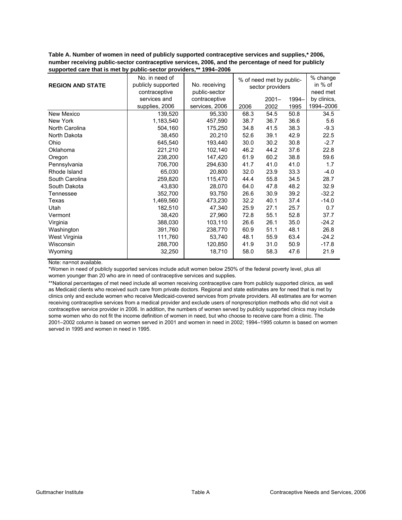**Table A. Number of women in need of publicly supported contraceptive services and supplies,\* 2006, number receiving public-sector contraceptive services, 2006, and the percentage of need for publicly supported care that is met by public-sector providers,\*\* 1994–2006**

| <b>REGION AND STATE</b> | No. in need of<br>publicly supported<br>contraceptive<br>services and | No. receiving<br>public-sector<br>contraceptive |      | % of need met by public-<br>sector providers<br>$2001 -$ | 1994- | % change<br>in % of<br>need met<br>by clinics, |
|-------------------------|-----------------------------------------------------------------------|-------------------------------------------------|------|----------------------------------------------------------|-------|------------------------------------------------|
|                         | supplies, 2006                                                        | services, 2006                                  | 2006 | 2002                                                     | 1995  | 1994-2006                                      |
| New Mexico              | 139,520                                                               | 95,330                                          | 68.3 | 54.5                                                     | 50.8  | 34.5                                           |
| New York                | 1,183,540                                                             | 457,590                                         | 38.7 | 36.7                                                     | 36.6  | 5.6                                            |
| North Carolina          | 504,160                                                               | 175,250                                         | 34.8 | 41.5                                                     | 38.3  | $-9.3$                                         |
| North Dakota            | 38,450                                                                | 20,210                                          | 52.6 | 39.1                                                     | 42.9  | 22.5                                           |
| Ohio                    | 645,540                                                               | 193,440                                         | 30.0 | 30.2                                                     | 30.8  | $-2.7$                                         |
| Oklahoma                | 221,210                                                               | 102,140                                         | 46.2 | 44.2                                                     | 37.6  | 22.8                                           |
| Oregon                  | 238,200                                                               | 147,420                                         | 61.9 | 60.2                                                     | 38.8  | 59.6                                           |
| Pennsylvania            | 706,700                                                               | 294,630                                         | 41.7 | 41.0                                                     | 41.0  | 1.7                                            |
| Rhode Island            | 65,030                                                                | 20,800                                          | 32.0 | 23.9                                                     | 33.3  | $-4.0$                                         |
| South Carolina          | 259,820                                                               | 115,470                                         | 44.4 | 55.8                                                     | 34.5  | 28.7                                           |
| South Dakota            | 43,830                                                                | 28,070                                          | 64.0 | 47.8                                                     | 48.2  | 32.9                                           |
| Tennessee               | 352,700                                                               | 93,750                                          | 26.6 | 30.9                                                     | 39.2  | $-32.2$                                        |
| Texas                   | 1,469,560                                                             | 473,230                                         | 32.2 | 40.1                                                     | 37.4  | $-14.0$                                        |
| Utah                    | 182,510                                                               | 47,340                                          | 25.9 | 27.1                                                     | 25.7  | 0.7                                            |
| Vermont                 | 38,420                                                                | 27,960                                          | 72.8 | 55.1                                                     | 52.8  | 37.7                                           |
| Virginia                | 388,030                                                               | 103,110                                         | 26.6 | 26.1                                                     | 35.0  | $-24.2$                                        |
| Washington              | 391,760                                                               | 238,770                                         | 60.9 | 51.1                                                     | 48.1  | 26.8                                           |
| West Virginia           | 111,760                                                               | 53,740                                          | 48.1 | 55.9                                                     | 63.4  | $-24.2$                                        |
| Wisconsin               | 288,700                                                               | 120,850                                         | 41.9 | 31.0                                                     | 50.9  | -17.8                                          |
| Wyoming                 | 32,250                                                                | 18,710                                          | 58.0 | 58.3                                                     | 47.6  | 21.9                                           |

Note: na=not available.

\*Women in need of publicly supported services include adult women below 250% of the federal poverty level, plus all women younger than 20 who are in need of contraceptive services and supplies.

\*\*National percentages of met need include all women receiving contraceptive care from publicly supported clinics, as well as Medicaid clients who received such care from private doctors. Regional and state estimates are for need that is met by clinics only and exclude women who receive Medicaid-covered services from private providers. All estimates are for women receiving contraceptive services from a medical provider and exclude users of nonprescription methods who did not visit a contraceptive service provider in 2006. In addition, the numbers of women served by publicly supported clinics may include some women who do not fit the income definition of women in need, but who choose to receive care from a clinic. The 2001–2002 column is based on women served in 2001 and women in need in 2002; 1994–1995 column is based on women served in 1995 and women in need in 1995.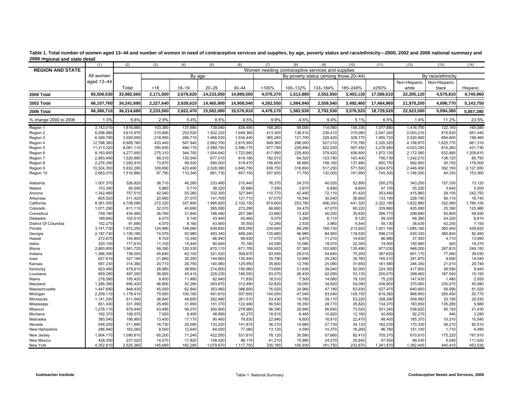|                         | (1)        | (2)        | (3)       | (4)       | (5)        | (6)        | (7)       | (8)       | (9)                                               | (10)      | (11)       | (12)         | (13)              | (14)      |
|-------------------------|------------|------------|-----------|-----------|------------|------------|-----------|-----------|---------------------------------------------------|-----------|------------|--------------|-------------------|-----------|
| <b>REGION AND STATE</b> |            |            |           |           |            |            |           |           | Women needing contraceptive services and supplies |           |            |              |                   |           |
|                         | All women  |            |           | By age    |            |            |           |           | By poverty status (among those 20-44)             |           |            |              | By race/ethnicity |           |
|                         | aged 13-44 |            |           |           |            |            |           |           |                                                   |           |            | Non-Hispanic | Non-Hispanic      |           |
|                         |            | Total      | <18       | $18 - 19$ | $20 - 29$  | $30 - 44$  | <100%     | 100-132%  | 133-184%                                          | 185-249%  | ≥250%      | white        | black             | Hispanic  |
| 2000 Total              | 65,506,530 | 33,982,660 | 2,171,500 | 2,678,620 | 14,233,050 | 14,899,500 | 4,076,370 | 1,513,880 | 2,552,550                                         | 3,403,130 | 17,586,610 | 22,205,120   | 4,579,810         | 4,740,960 |
| 2002 Total              | 66,107,760 | 34,241,690 | 2,227,640 | 2,639,610 | 14,465,900 | 14,908,540 | 4,262,550 | 1,594,940 | 2,559,540                                         | 3,492,460 | 17,464,960 | 21,978,200   | 4,696,770         | 5,143,750 |
| 2006 Total              | 66,380,710 | 36,214,680 | 2,233,560 | 2,822,470 | 15,582,000 | 15,576,910 | 4,478,170 | 1,582,030 | 2,792,530                                         | 3,576,520 | 18,729,520 | 22,523,500   | 5,094,380         | 5,857,390 |
| % change 2000 to 2006   | 1.3%       | 6.6%       | 2.9%      | 5.4%      | 9.5%       | 4.5%       | 9.9%      | 4.5%      | 9.4%                                              | 5.1%      | 6.5%       | 1.4%         | 11.2%             | 23.5%     |
| Region 1                | 3,143,010  | 1,816,680  | 103,380   | 137,680   | 739,040    | 836,490    | 168,260   | 59,000    | 114,060                                           | 156,330   | 1,077,880  | 1,416,750    | 122,140           | 165,080   |
| Region 2                | 6,256,980  | 3,615,970  | 210,890   | 253,520   | 1,502,220  | 1,649,360  | 413,300   | 136,510   | 239,410                                           | 315,080   | 2,047,240  | 2,003,210    | 615,630           | 651,440   |
| Region 3                | 6,349,790  | 3,500,550  | 218,950   | 280,710   | 1,466,530  | 1,534,440  | 365,280   | 121,700   | 229,420                                           | 328,770   | 1,955,720  | 2,420,900    | 684,600           | 199,460   |
| Region 4                | 12,766,360 | 6,689,760  | 433,440   | 547,940   | 2,892,700  | 2,815,900  | 849,360   | 296,000   | 527,010                                           | 715,780   | 3,320,320  | 4,158,870    | 1,625,770         | 661,310   |
| Region 5                | 11,313,320 | 6,061,110  | 390,930   | 494,170   | 2,589,750  | 2,586,170  | 677,790   | 229,890   | 422,020                                           | 567,450   | 3,278,580  | 4,523,250    | 810,260           | 431,730   |
| Region 6                | 8,183,950  | 4,277,650  | 275,310   | 344,750   | 1,934,640  | 1,722,960  | 617,990   | 229,400   | 379,420                                           | 458,800   | 1,972,130  | 2,172,560    | 632,680           | 1,209,810 |
| Region 7                | 2,883,490  | 1,520,880  | 99,310    | 130,340   | 677,010    | 614,180    | 182,910   | 64,320    | 123,780                                           | 163,400   | 756,730    | 1,242,210    | 136,120           | 80,750    |
| Region 8                | 2,276,390  | 1,282,910  | 73,870    | 99,530    | 590,000    | 519,470    | 156,600   | 56,660    | 108,160                                           | 137,460   | 650,750    | 992,800      | 30,750            | 176,500   |
| Region 9                | 10,524,350 | 5,932,290  | 339,690   | 423,490   | 2,528,380  | 2,640,790  | 838,750   | 316,800   | 517,250                                           | 571,500   | 2,924,870  | 2,446,450    | 392,100           | 2,127,950 |
| Region 10               | 2,683,070  | 1,516,880  | 87,790    | 110,340   | 661,730    | 657,150    | 207,930   | 71,750    | 132,000                                           | 161,950   | 745,300    | 1,146,500    | 44,330            | 153,360   |
| Alabama                 | 1,007,370  | 526,820    | 36,710    | 46,280    | 233,480    | 210,440    | 76,370    | 24,370    | 40,020                                            | 52,890    | 250,270    | 343,250      | 157,330           | 13,120    |
| Alaska                  | 153.340    | 85.590     | 5.860     | 5.710     | 38.320     | 35,680     | 7.930     | 3.670     | 6.690                                             | 8.600     | 47.100     | 55.220       | 3.640             | 5,000     |
| Arizona                 | 1,342,480  | 757,510    | 42,040    | 55,260    | 332,300    | 327,940    | 110,770   | 42,490    | 72,110                                            | 81,420    | 353,480    | 415,960      | 29,100            | 242,750   |
| Arkansas                | 605,520    | 311,420    | 20,990    | 27,070    | 141.700    | 121,710    | 47,070    | 16.540    | 30,040                                            | 36,600    | 133,190    | 228,190      | 56.110            | 16,740    |
| California              | 8,361,000  | 4,708,090  | 272,220   | 337,800   | 1,995,920  | 2,102,150  | 674,600   | 253,780   | 406,200                                           | 441,320   | 2,322,180  | 1,822,860    | 332,080           | 1,789,100 |
| Colorado                | 1,071,290  | 611,110    | 32,070    | 40,690    | 265,090    | 273,290    | 66,660    | 24,470    | 47,070                                            | 60,220    | 339,960    | 425,080      | 25,390            | 125,980   |
| Conneticut              | 759.180    | 434,480    | 26.760    | 31,840    | 168,480    | 207,380    | 33,860    | 13,420    | 26,200                                            | 35,630    | 266,770    | 299,680      | 50.800            | 58,930    |
| Delaware                | 189,640    | 102,510    | 6,470     | 9,140     | 43,440     | 43,460     | 9,070     | 3,260     | 6,110                                             | 9,120     | 59,330     | 66,360       | 24,320            | 6,810     |
| District Of Columbia    | 152,270    | 91,680     | 4,070     | 8,160     | 43,900     | 35,550     | 12,290    | 2,530     | 3,960                                             | 5,540     | 55,130     | 36,430       | 42,250            | 7,150     |
| Florida                 | 3,741,720  | 1,972,250  | 124,990   | 148,560   | 839,650    | 859,050    | 234,640   | 89,290    | 159,730                                           | 213,920   | 1,001,190  | 1,085,160    | 365,450           | 439,620   |
| Georgia                 | 2,187,740  | 1,150,180  | 74,570    | 92,980    | 493,340    | 489,240    | 135,880   | 46,980    | 84,950                                            | 118,530   | 596,210    | 630,330      | 385,840           | 82,490    |
| Hawaii                  | 272,670    | 154,800    | 8.700     | 10,340    | 66.940     | 68,830     | 17,070    | 5.870     | 11,210                                            | 14,630    | 86,980     | 37,300       | 4,710             | 13,590    |
| Idaho                   | 320,150    | 177,610    | 11,100    | 15,440    | 80,940     | 70,160     | 24,590    | 10,080    | 19,570                                            | 22,350    | 74,500     | 150,980      | 920               | 18,270    |
| Illinois                | 2,883,850  | 1,561,720  | 99,390    | 120,530   | 670,110    | 671,700    | 168,920   | 57,360    | 102,950                                           | 135,490   | 877,030    | 948,200      | 267,810           | 249,150   |
| Indiana                 | 1,386,390  | 738,000    | 45,640    | 62,100    | 321,520    | 308,670    | 83,590    | 29,010    | 54,840                                            | 75,200    | 387,620    | 601,170      | 77,060            | 38,030    |
| lowa                    | 627,610    | 327,160    | 21,660    | 30,350    | 144,660    | 130,440    | 35,780    | 12,990    | 25,240                                            | 35,760    | 165,410    | 291,870      | 9,650             | 14,040    |
| Kansas                  | 597,230    | 314,380    | 20,710    | 26,750    | 140,990    | 125,950    | 35,800    | 12,790    | 25,090                                            | 31,650    | 161,580    | 246,350      | 21,010            | 29,740    |
| Kentucky                | 923,480    | 478,610    | 28.980    | 38,850    | 214,800    | 195,960    | 73,690    | 21,630    | 39,040                                            | 52,000    | 224,350    | 417,800      | 39,590            | 9,940     |
| Louisiana               | 959,280    | 497,050    | 36,900    | 45,410    | 229,230    | 185,550    | 93,070    | 26,430    | 42,090                                            | 53,130    | 200,070    | 299,460      | 167,540           | 15,150    |
| Maine                   | 276,090    | 155,420    | 9.450     | 11,480    | 62,640     | 71,830     | 18,510    | 7,500     | 14,080                                            | 19,150    | 75,230     | 147,430      | 1,480             | 2,050     |
| Maryland                | 1,285,390  | 695,420    | 46,800    | 52,280    | 283,870    | 312,490    | 52,620    | 18,050    | 34,820                                            | 54,090    | 436,800    | 370,060      | 230,070           | 45,080    |
| Massachusetts           | 1,447,690  | 848,430    | 45,500    | 62,840    | 353,460    | 386,600    | 76,520    | 24,960    | 47,180                                            | 63,930    | 527,470    | 640,800      | 59,590            | 81,020    |
| Michigan                | 2,209,110  | 1,179,410  | 79,950    | 100,160   | 491,610    | 507,650    | 140,050   | 47.040    | 83,040                                            | 109,750   | 619,360    | 868,850      | 200,450           | 50,770    |
| Minnesota               | 1,141,250  | 611,540    | 38.640    | 48,850    | 262,480    | 261,510    | 53,430    | 19,780    | 39,110                                            | 53,220    | 358,380    | 509,060      | 33,190            | 25,530    |
| Mississippi             | 651,430    | 331,390    | 25,690    | 31,900    | 151,370    | 122,480    | 56,540    | 18,350    | 28,770                                            | 35,820    | 134,370    | 183,650      | 135,280           | 5,880     |
| Missouri                | 1,278,110  | 679,440    | 43.490    | 56,070    | 300,900    | 278,960    | 88,390    | 29,940    | 56,640                                            | 73,520    | 331,340    | 538,620      | 95,150            | 21,430    |
| Montana                 | 192,370    | 106,570    | 7,000     | 8,400     | 48,890     | 42,270     | 18,910    | 6,480     | 10,920                                            | 12,160    | 42,650     | 92,270       | 440               | 3,290     |
| Nebraska                | 380.540    | 199,900    | 13.450    | 17,170    | 90.460     | 78,830     | 22,940    | 8.600     | 16,810                                            | 22,470    | 98,400     | 165,370      | 10.310            | 15,540    |
| Nevada                  | 548,200    | 311,890    | 16,730    | 20,090    | 133,220    | 141,870    | 36,310    | 14,660    | 27,730                                            | 34,130    | 162,230    | 170,330      | 26,210            | 82,510    |
| New Hampshire           | 286,940    | 163,260    | 9,500     | 12,640    | 64,000     | 77,080     | 13,120    | 4,590     | 10,370                                            | 16,260    | 96,760     | 151,100      | 1,710             | 4,490     |
| New Jersey              | 1,904,170  | 1,090,610  | 65,200    | 71,240    | 422,550    | 531,610    | 78,120    | 30,580    | 57,660                                            | 82,410    | 705,370    | 610,810      | 175,220           | 197,910   |
| New Mexico              | 428,350    | 237,020    | 14,570    | 17,820    | 108,420    | 96,170     | 41,210    | 15.980    | 24,270                                            | 25.640    | 97,500     | 89,030       | 5.040             | 111,520   |
| New York                | 4,352,810  | 2,525,360  | 145,690   | 182,280   | 1,079,670  | 1,117,750  | 335,180   | 105,930   | 181,750                                           | 232,670   | 1,341,870  | 1,392,400    | 440,410           | 453,530   |

<span id="page-6-0"></span>Table 1. Total number of women aged 13-44 and number of women in need of contraceptive services and supplies, by age, poverty status and race/ethnicity-2000, 2002 and 2006 national summary and **2006 regional and state detail**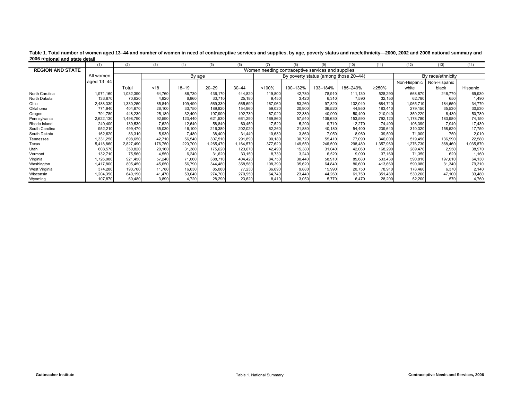|                         | (1)        | (2)       | (3)     | (4)       | (5)       | (6)       | (7)     | (8)      | (9)                                               | (10)     | (11)      | (12)         | (13)              | (14)      |
|-------------------------|------------|-----------|---------|-----------|-----------|-----------|---------|----------|---------------------------------------------------|----------|-----------|--------------|-------------------|-----------|
| <b>REGION AND STATE</b> |            |           |         |           |           |           |         |          | Women needing contraceptive services and supplies |          |           |              |                   |           |
|                         | All women  |           |         | By age    |           |           |         |          | By poverty status (among those 20–44)             |          |           |              | By race/ethnicity |           |
|                         | aged 13-44 |           |         |           |           |           |         |          |                                                   |          |           | Non-Hispanic | Non-Hispanic      |           |
|                         |            | Total     | < 18    | $18 - 19$ | $20 - 29$ | $30 - 44$ | < 100%  | 100-132% | 133-184%                                          | 185-249% | ≥250%     | white        | black             | Hispanic  |
| North Carolina          | 1.971.160  | 1,032,390 | 64.760  | 86,730    | 436.170   | 444.820   | 119,800 | 42.780   | 78,910                                            | 111.130  | 528,290   | 668.870      | 246,770           | 69,930    |
| North Dakota            | 133,670    | 70,620    | 4,820   | 6,860     | 33,710    | 25,180    | 9,450   | 3,420    | 6,310                                             | 7,590    | 32,150    | 62,780       | 650               | 1,490     |
| Ohio                    | 2,488,330  | 330,250   | 85,840  | 109,490   | 569,330   | 565,690   | 167,060 | 53,260   | 97,820                                            | 132,040  | 684.710   | 1,065,710    | 184,650           | 34,770    |
| Oklahoma                | 771,940    | 404,670   | 26,100  | 33,750    | 189,820   | 154,960   | 59,020  | 20,900   | 36,520                                            | 44,950   | 183,410   | 279,150      | 35,530            | 30,530    |
| Oregon                  | 791.780    | 448,230   | 25.180  | 32.400    | 197,990   | 192,730   | 67.020  | 22,380   | 40,900                                            | 50.400   | 210,040   | 350,220      | 8,430             | 50,780    |
| Pennsylvania            | 2,622,130  | ,498,790  | 92,590  | 123,440   | 621,530   | 661,290   | 169,860 | 57,540   | 109,630                                           | 153,590  | 792,120   | 1,178,780    | 183,980           | 74,150    |
| Rhode Island            | 240,400    | 139,530   | 7.620   | 12,640    | 58,840    | 60.450    | 17,520  | 5,290    | 9.710                                             | 12,270   | 74.490    | 106,390      | 7.940             | 17,430    |
| South Carolina          | 952,210    | 499,470   | 35,030  | 46,100    | 216,380   | 202,020   | 62,260  | 21,880   | 40,180                                            | 54,400   | 239,640   | 310,320      | 158,520           | 17,750    |
| South Dakota            | 162,620    | 83,310    | 5.930   | 7,480     | 38,400    | 31.440    | 10,680  | 3,860    | 7,050                                             | 8,960    | 39,500    | 71,000       | 750               | 2,010     |
| Tennessee               | 1,331,250  | 698,650   | 42.710  | 56,540    | 307,510   | 291,890   | 90,180  | 30,720   | 55,410                                            | 77,090   | 346,000   | 519,490      | 136,990           | 22,580    |
| Texas                   | 5.418.860  | 2,827,490 | 176,750 | 220.700   | ,265,470  | 1.164.570 | 377,620 | 149,550  | 246,500                                           | 298,480  | 1,357,960 | 1,276,730    | 368,460           | 1,035,870 |
| Utah                    | 608,570    | 350,820   | 20,160  | 31,380    | 175,620   | 123,670   | 42,490  | 15,380   | 31,040                                            | 42,060   | 168,290   | 289,470      | 2,950             | 38,970    |
| Vermont                 | 132,710    | 75,560    | 4,550   | 6.240     | 31,620    | 33,150    | 8,730   | 3,240    | 6,520                                             | 9,090    | 37,160    | 71,350       | 620               | 1,160     |
| Virginia                | 1,726,080  | 921,450   | 57,240  | 71,060    | 388,710   | 404,420   | 84,750  | 30,440   | 58,910                                            | 85,680   | 533,430   | 590,810      | 197,610           | 64,130    |
| Washington              | 1,417,800  | 805,450   | 45,650  | 56,790    | 344.480   | 358,580   | 108,390 | 35,620   | 64,840                                            | 80,600   | 413,660   | 590,080      | 31,340            | 79,310    |
| West Virginia           | 374,280    | 190,700   | 11,780  | 16,630    | 85,080    | 77,230    | 36,690  | 9,880    | 15,990                                            | 20,750   | 78,910    | 178,460      | 6,370             | 2,140     |
| Wisconsin               | 1,204,390  | 640,190   | 41.470  | 53,040    | 274,700   | 270,950   | 64,740  | 23,440   | 44,260                                            | 61,750   | 351,480   | 530,260      | 47,100            | 33,480    |
| Wyoming                 | 107,870    | 60,480    | 3,890   | 4,720     | 28,290    | 23,620    | 8,410   | 3,050    | 5,770                                             | 6,470    | 28,200    | 52,200       | 570               | 4,760     |

Table 1. Total number of women aged 13-44 and number of women in need of contraceptive services and supplies, by age, poverty status and race/ethnicity-2000, 2002 and 2006 national summary and **2006 regional and state detail**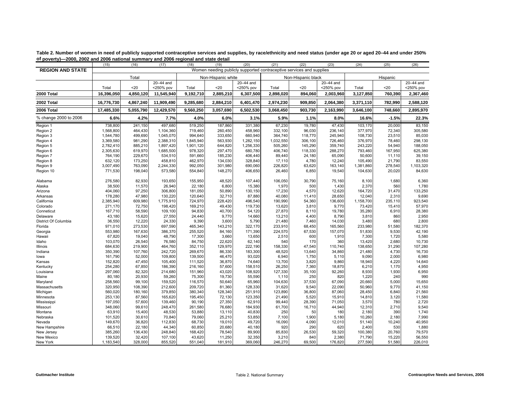|                           | (15)              | (16)              | (17)               | (18)               | (19)               | (20)              | (21)              | (22)                                                                 | (23)             | (24)             | (25)           | (26)          |
|---------------------------|-------------------|-------------------|--------------------|--------------------|--------------------|-------------------|-------------------|----------------------------------------------------------------------|------------------|------------------|----------------|---------------|
| <b>REGION AND STATE</b>   |                   |                   |                    |                    |                    |                   |                   | Women needing publicly supported contraceptive services and supplies |                  |                  |                |               |
|                           |                   | Total             |                    |                    | Non-Hispanic white |                   |                   | Non-Hispanic black                                                   |                  |                  | Hispanic       |               |
|                           |                   |                   | 20-44 and          |                    |                    | 20-44 and         |                   |                                                                      | 20-44 and        |                  |                | $20-44$ and   |
|                           | Total             | $20$              | <250% pov          | Total              | 20                 | <250% pov         | Total             | $20$                                                                 | <250% pov        | Total            | $20$           | <250% pov     |
| 2000 Total                | 16.396.050        | 4,850,120         | 11,545,940         | 9,192,710          | 2,885,210          | 6,307,500         | 2,898,020         | 894.060                                                              | 2,003,960        | 3,127,850        | 760,390        | 2,367,460     |
| 2002 Total                | 16,776,730        | 4,867,240         | 11,909,490         | 9,285,680          | 2,884,210          | 6,401,470         | 2,974,230         | 909,850                                                              | 2,064,380        | 3,371,110        | 782,990        | 2,588,120     |
| 2006 Total                | 17,485,330        | 5,055,790         | 12,429,570         | 9,560,250          | 3,057,690          | 6,502,530         | 3,068,450         | 903,730                                                              | 2,163,990        | 3,646,100        | 748,660        | 2,895,970     |
| % change 2000 to 2006     | 6.6%              | 4.2%              | 7.7%               | 4.0%               | 6.0%               | 3.1%              | 5.9%              | 1.1%                                                                 | 8.0%             | 16.6%            | $-1.5%$        | 22.3%         |
| Region 1                  | 738,800           | 241,150           | 497,680            | 519,250            | 187,860            | 331,380           | 67,230            | 19,780                                                               | 47,430           | 103,170          | 20,000         | 83,150        |
| Region 2                  | 1,568,800         | 464,430           | 1,104,360          | 719,460            | 260,450            | 458,960           | 332,100           | 96,030                                                               | 236,140          | 377,970          | 72,340         | 305,580       |
| Region 3                  | 1,544,780         | 499,690           | 1,045,070          | 994,640            | 333,650            | 660,940           | 364,740           | 118,770                                                              | 245,940          | 108,730          | 23,510         | 85,030        |
| Region 4                  | 3.369.580         | 981,290           | 2,388,310          | 1.845.940          | 563,930            | 1,282,150         | 1,032,550         | 306.100                                                              | 726.460          | 376.970          | 78,460         | 298,130       |
| Region 5                  | 2,782,410         | 885,210           | 1,897,420          | 1,901,120          | 644,820            | 1,256,330         | 505,260           | 145,290                                                              | 359,740          | 243,220          | 54,940         | 188,050       |
| Region 6                  | 2,305,630         | 619,970           | 1,685,500          | 978,320            | 297,470            | 680,780           | 406,740           | 118,330                                                              | 288,270          | 793,460          | 167,950        | 625,380       |
| Region 7                  | 764,190           | 229,670           | 534,510            | 591,660            | 185,230            | 406,440           | 89,440            | 24,180                                                               | 65,090           | 50,600           | 11,110         | 39,150        |
| Region 8                  | 632.120           | 173,250           | 458,810            | 462,970            | 134.030            | 328.840           | 17,110            | 4,780                                                                | 12,240           | 105,490          | 21,790         | 83,550        |
| Region 9                  | 3,007,490         | 763,090           | 2,244,330          | 992,050            | 301,980            | 690,060           | 226,820           | 63,620                                                               | 163,140          | 1,381,860        | 278,540        | 1,103,320     |
| Region 10                 | 771,530           | 198,040           | 573,580            | 554,840            | 148,270            | 406,650           | 26,460            | 6,850                                                                | 19,540           | 104,630          | 20,020         | 84,630        |
| Alabama                   | 276.580           | 82,930            | 193.650            | 155.950            | 48,520             | 107.440           | 106.050           | 30,790                                                               | 75.160           | 8,100            | 1,680          | 6,360         |
| Alaska                    | 38,500            | 11,570            | 26,940             | 22,180             | 6,800              | 15,380            | 1,970             | 500                                                                  | 1,430            | 2,370            | 560            | 1,780         |
| Arizona                   | 404,060           | 97,250            | 306,800            | 181,050            | 50,890             | 130,150           | 17,230            | 4,570                                                                | 12,620           | 164,720          | 31,470         | 133,250       |
| Arkansas                  | 178,280           | 47,980            | 130,220            | 120.640            | 32,710             | 87,880            | 40.080            | 11,410                                                               | 28,650           | 12,040           | 2,310          | 9,690         |
| California                | 2,385,940         | 609,980           | 1,775,910          | 724,970            | 228,420            | 496,540           | 190,990           | 54,360                                                               | 136,600          | 1,158,700        | 235,110        | 923,540       |
| Colorado                  | 271,170           | 72,750            | 198,420            | 169,210            | 49,430             | 119,730           | 13,620            | 3,810                                                                | 9,770            | 73,420           | 15,410         | 57,970        |
| Conneticut                | 167,710           | 58,590            | 109,100            | 94,830             | 40,700             | 54,120            | 27,870            | 8,110                                                                | 19,780           | 35,280           | 6,910          | 28,380        |
| Delaware                  | 43,180            | 15,620            | 27,550             | 24,440             | 9,770              | 14,660            | 13,210            | 4,400                                                                | 8,790            | 3,810            | 860            | 2,950         |
| District Of Columbia      | 36,550            | 12,220            | 24,330             | 9,390              | 3,600              | 5,790             | 21,480            | 7,460                                                                | 14,030           | 3,480            | 680            | 2,800         |
| Florida                   | 971,010           | 273,530           | 697,590            | 465,340            | 143,210            | 322,170           | 233,910           | 68,450                                                               | 165,560          | 233,980          | 51,580         | 182,370       |
| Georgia                   | 553,980           | 167,630           | 386,370            | 255,520            | 84,160             | 171,390           | 224,570           | 67,530                                                               | 157,070          | 51,830           | 9,530          | 42,190        |
| Hawaii                    | 67,820            | 19,040            | 48,790             | 17,300             | 3,660              | 13,650            | 2,510             | 600                                                                  | 1,910            | 7,300            | 1,720          | 5,580         |
| Idaho                     | 103,070           | 26,540            | 76,580             | 84,750             | 22,620             | 62,140            | 540               | 170                                                                  | 360              | 13,420           | 2,680          | 10,730        |
| Illinois                  | 684,630           | 219,900           | 464,760            | 352,110            | 129,970            | 222,190           | 158,330           | 47,540                                                               | 110,740          | 138,650          | 31,290         | 107,280       |
| Indiana                   | 350,390           | 107,760           | 242,720            | 269,670            | 86,330             | 183,300           | 48,520            | 13,640                                                               | 34,860           | 21,480           | 4,730          | 16,730        |
| lowa                      | 161,790           | 52,000            | 109.800            | 139,500            | 46,470             | 93.020            | 6.940             | 1,750                                                                | 5,110            | 9.090            | 2,000          | 6,980         |
| Kansas                    | 152,820           | 47,450            | 105,400            | 111,520            | 36,870             | 74,640            | 13,700            | 3,820                                                                | 9,860            | 18,940           | 4,220          | 14,640        |
| Kentucky                  | 254,280           | 67,850            | 186,390            | 216,160            | 57,600             | 158,510           | 26,250            | 7,360                                                                | 18,870           | 6,210            | 1,170          | 4,950         |
| Louisiana                 | 297,060           | 82,320            | 214,680            | 151,960            | 43,020             | 108,920           | 127,330           | 35,100                                                               | 92,260           | 8,930            | 1,930          | 6,950         |
| Maine                     | 80,180<br>258,560 | 20,930            | 59,260             | 75,300             | 19,730             | 55,590            | 1,110             | 250                                                                  | 820              | 1,220            | 240            | 990<br>15,650 |
| Maryland                  | 320,950           | 99,100<br>108,390 | 159,520<br>212,600 | 116,570<br>209,720 | 50,640<br>81,360   | 65,960<br>128,330 | 104,630<br>31,620 | 37,530<br>9,540                                                      | 67,090<br>22,090 | 20,660<br>50,960 | 5,000<br>9,770 | 41,150        |
| Massachusetts<br>Michigan | 560,020           | 180,160           | 379,850            | 380,340            | 128,340            | 251,910           | 123,890           | 36,800                                                               | 87,060           | 28,450           | 6,840          | 21,560        |
| Minnesota                 | 253,130           | 87,560            | 165,620            | 195,450            | 72,130             | 123,350           | 21,490            | 5,520                                                                | 15,910           | 14,810           | 3,120          | 11,580        |
| Mississippi               | 197,050           | 57,600            | 139,460            | 90,190             | 27,350             | 62,910            | 99,440            | 28,390                                                               | 71,050           | 3,570            | 780            | 2,720         |
| Missouri                  | 348,060           | 99,610            | 248,470            | 261,580            | 76,680             | 184,930           | 61,700            | 16,710                                                               | 44,940           | 12,310           | 2,710          | 9,540         |
| Montana                   | 63,910            | 15,400            | 48,530             | 53,880             | 13,110             | 40,830            | 250               | 50                                                                   | 180              | 2,180            | 390            | 1,740         |
| Nebraska                  | 101,520           | 30,610            | 70,840             | 79,060             | 25,210             | 53,850            | 7,100             | 1,900                                                                | 5,180            | 10,260           | 2,180          | 7,990         |
| Nevada                    | 149,670           | 36,820            | 112,830            | 68,730             | 19,010             | 49,720            | 16,090            | 4,090                                                                | 12,010           | 51,140           | 10,240         | 40,950        |
| New Hampshire             | 66,510            | 22,180            | 44,340             | 60,850             | 20,680             | 40,180            | 920               | 290                                                                  | 620              | 2,400            | 530            | 1,880         |
| New Jersey                | 385,260           | 136,430           | 248,840            | 168,420            | 78,540             | 89,900            | 85,830            | 26,530                                                               | 59,320           | 100,380          | 20,760         | 79,570        |
| New Mexico                | 139,520           | 32,420            | 107,100            | 43,620             | 11,250             | 32,350            | 3,210             | 840                                                                  | 2,380            | 71,790           | 15,220         | 56,550        |
| New York                  | 1,183,540         | 328,000           | 855,520            | 551,040            | 181,910            | 369,060           | 246,270           | 69,500                                                               | 176,820          | 277,590          | 51,580         | 226,010       |

<span id="page-8-0"></span>**Table 2. Number of women in need of publicly supported contraceptive services and supplies, by race/ethnicity and need status (under age 20 or aged 20–44 and under 250% of poverty)—2000, 2002 and 2006 national summary and 2006 regional and state detail**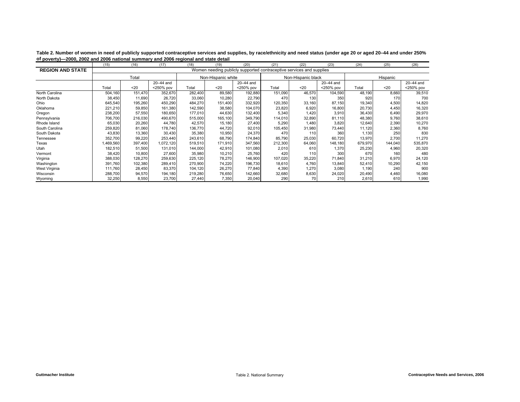|                         | (15)      | (16)    | (17)      | (18)    | (19)               | (20)      | (21)    | (22)                                                                 | (23)      | (24)    | (25)     | (26)      |
|-------------------------|-----------|---------|-----------|---------|--------------------|-----------|---------|----------------------------------------------------------------------|-----------|---------|----------|-----------|
| <b>REGION AND STATE</b> |           |         |           |         |                    |           |         | Women needing publicly supported contraceptive services and supplies |           |         |          |           |
|                         |           | Total   |           |         | Non-Hispanic white |           |         | Non-Hispanic black                                                   |           |         | Hispanic |           |
|                         |           |         | 20-44 and |         |                    | 20-44 and |         |                                                                      | 20-44 and |         |          | 20-44 and |
|                         | Total     | $20$    | <250% pov | Total   | $20$               | <250% pov | Total   | $20$                                                                 | <250% pov | Total   | $20$     | <250% pov |
| North Carolina          | 504,160   | 151.470 | 352,670   | 282,400 | 89,580             | 192,880   | 151,090 | 46,570                                                               | 104,590   | 48,190  | 8,660    | 39,510    |
| North Dakota            | 38,450    | 11,690  | 26,720    | 33,060  | 10,280             | 22,790    | 470     | 130                                                                  | 350       | 920     | 170      | 700       |
| Ohio                    | 645,540   | 195,260 | 450,290   | 484,270 | 151,400            | 332,920   | 120,350 | 33,160                                                               | 87,150    | 19,340  | 4,500    | 14,820    |
| Oklahoma                | 221,210   | 59,850  | 161,380   | 142,590 | 38,580             | 104,070   | 23,820  | 6,920                                                                | 16,800    | 20,730  | 4,450    | 16,320    |
| Oregon                  | 238,200   | 57,550  | 180,650   | 177,010 | 44,630             | 132,400   | 5,340   | 1,420                                                                | 3,910     | 36,430  | 6,490    | 29,970    |
| Pennsylvania            | 706,700   | 216,030 | 490,670   | 515,000 | 165,100            | 349,790   | 114,010 | 32,890                                                               | 81,110    | 48,380  | 9,760    | 38,610    |
| Rhode Island            | 65,030    | 20,260  | 44.780    | 42,570  | 15,180             | 27,400    | 5,290   | 1,480                                                                | 3.820     | 12,640  | 2,390    | 10,270    |
| South Carolina          | 259,820   | 81,060  | 178,740   | 136,770 | 44,720             | 92,010    | 105,450 | 31,980                                                               | 73,440    | 11,120  | 2,360    | 8,760     |
| South Dakota            | 43,830    | 13,360  | 30,430    | 35,380  | 10,950             | 24,370    | 470     | 110                                                                  | 360       | 1,130   | 250      | 830       |
| Tennessee               | 352,700   | 99,220  | 253,440   | 243,610 | 68,790             | 174,840   | 85,790  | 25,030                                                               | 60,720    | 13,970  | 2,700    | 11,270    |
| Texas                   | 1,469,560 | 397.400 | 1,072,120 | 519,510 | 171,910            | 347,560   | 212,300 | 64,060                                                               | 148,180   | 679,970 | 144,040  | 535,870   |
| Utah                    | 182,510   | 51,500  | 131,010   | 144,000 | 42,910             | 101,080   | 2,010   | 610                                                                  | 1.370     | 25,230  | 4,960    | 20,320    |
| Vermont                 | 38,420    | 10,800  | 27,600    | 35,980  | 10,210             | 25,760    | 420     | 110                                                                  | 300       | 670     | 160      | 480       |
| Virginia                | 388,030   | 128,270 | 259,630   | 225,120 | 78,270             | 146,900   | 107,020 | 35,220                                                               | 71,840    | 31,210  | 6,970    | 24,120    |
| Washington              | 391,760   | 102,380 | 289,410   | 270,900 | 74,220             | 196,730   | 18,610  | 4,760                                                                | 13,840    | 52,410  | 10,290   | 42,150    |
| West Virginia           | 111,760   | 28,450  | 83,370    | 104,120 | 26,270             | 77,840    | 4,390   | 1,270                                                                | 3,080     | 1,190   | 240      | 900       |
| Wisconsin               | 288,700   | 94,570  | 194,180   | 219,280 | 76,650             | 142,660   | 32,680  | 8,630                                                                | 24,020    | 20,490  | 4,460    | 16,080    |
| Wyoming                 | 32,250    | 8,550   | 23,700    | 27,440  | 7,350              | 20,040    | 290     | 70                                                                   | 210       | 2,610   | 610      | 1,990     |

**Table 2. Number of women in need of publicly supported contraceptive services and supplies, by race/ethnicity and need status (under age 20 or aged 20–44 and under 250% of poverty)—2000, 2002 and 2006 national summary and 2006 regional and state detail**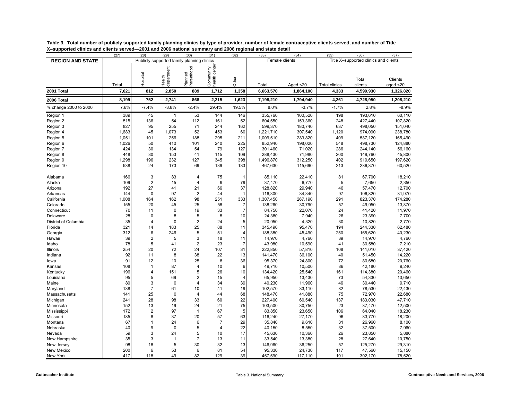| supported chilles and chemis served | (27)  | (28)           | (29)                 | (30)                                       | (31)                       | (32)           | Loo Fana Loo Hauonar Sanning y and Loo Tegionar and State actar<br>(33) | (34)        | (35)                 | (36)                                  | (37)                          |
|-------------------------------------|-------|----------------|----------------------|--------------------------------------------|----------------------------|----------------|-------------------------------------------------------------------------|-------------|----------------------|---------------------------------------|-------------------------------|
| <b>REGION AND STATE</b>             |       |                |                      | Publicly supported family planning clinics |                            |                | Female clients                                                          |             |                      | Title X-supported clinics and clients |                               |
|                                     | Total | Hospital       | department<br>Health | Parenthood<br>Planned                      | health center<br>Community | Other          | Total                                                                   | Aged $<$ 20 | <b>Total clinics</b> | Total<br>clients                      | <b>Clients</b><br>aged $<$ 20 |
| 2001 Total                          | 7,621 | 812            | 2,850                | 889                                        | 1,712                      | 1,358          | 6,663,570                                                               | 1,864,100   | 4,333                | 4,599,930                             | 1,326,820                     |
| 2006 Total                          | 8,199 | 752            | 2,741                | 868                                        | 2,215                      | 1,623          | 7,198,210                                                               | 1,794,940   | 4,261                | 4,728,950                             | 1,208,210                     |
| % change 2000 to 2006               | 7.6%  | $-7.4%$        | $-3.8%$              | $-2.4%$                                    | 29.4%                      | 19.5%          | 8.0%                                                                    | $-3.7%$     | $-1.7%$              | 2.8%                                  | $-8.9%$                       |
|                                     |       |                |                      |                                            |                            |                |                                                                         |             |                      |                                       |                               |
| Region 1                            | 389   | 45             | $\mathbf{1}$         | 53                                         | 144                        | 146            | 355,760                                                                 | 100,520     | 198                  | 193,610                               | 60,110                        |
| Region 2                            | 515   | 136            | 54                   | 112                                        | 161                        | 52             | 604,550                                                                 | 153,360     | 248                  | 427,440                               | 107,820                       |
| Region 3                            | 827   | 95             | 255                  | 71                                         | 244                        | 162            | 599,370                                                                 | 180,740     | 637                  | 498,050                               | 151,040                       |
| Region 4                            | 1,683 | 45             | 1.073                | 52                                         | 453                        | 60             | 1,221,710                                                               | 307,540     | 1,120                | 974,090                               | 238,780                       |
| Region 5                            | 1,051 | 101            | 256                  | 188                                        | 295                        | 211            | 1,009,510                                                               | 283,820     | 409                  | 587,120                               | 165,490                       |
| Region 6                            | 1,026 | 50             | 410                  | 101                                        | 240                        | 225            | 852,940                                                                 | 198,020     | 548                  | 498,730                               | 124,880                       |
| Region 7                            | 424   | 30             | 134                  | 54                                         | 79                         | 127            | 301,460                                                                 | 71,020      | 286                  | 244,140                               | 56,160                        |
| Region 8                            | 448   | 30             | 153                  | 41                                         | 115                        | 109            | 288,430                                                                 | 71,980      | 200                  | 149,760                               | 45,800                        |
| Region 9                            | 1,298 | 196            | 232                  | 127                                        | 345                        | 398            | 1,496,870                                                               | 312,250     | 402                  | 919,650                               | 197,620                       |
| Region 10                           | 538   | 24             | 173                  | 69                                         | 139                        | 133            | 467,630                                                                 | 115,690     | 213                  | 236,370                               | 60,520                        |
| Alabama                             | 166   | 3              | 83                   | 4                                          | 75                         | 1              | 85,110                                                                  | 22,410      | 81                   | 67,700                                | 18,210                        |
| Alaska                              | 109   | $\overline{2}$ | 15                   | $\overline{\mathbf{4}}$                    | 9                          | 79             | 37,470                                                                  | 6,770       | 5                    | 7,650                                 | 2,350                         |
| Arizona                             | 192   | 27             | 41                   | 21                                         | 66                         | 37             | 128,820                                                                 | 29,940      | 46                   | 57,470                                | 12,700                        |
| Arkansas                            | 144   | $\mathbf 0$    | 97                   | $\overline{2}$                             | 44                         | $\overline{1}$ | 116,300                                                                 | 34,340      | 97                   | 106,820                               | 31,970                        |
| California                          | 1,008 | 164            | 162                  | 98                                         | 251                        | 333            | 1,307,450                                                               | 267,190     | 291                  | 823,370                               | 174,280                       |
| Colorado                            | 155   | 20             | 45                   | 25                                         | 58                         | $\overline{7}$ | 138,260                                                                 | 30,790      | 57                   | 49,950                                | 13,870                        |
| Connecticut                         | 70    | 11             | $\pmb{0}$            | 19                                         | 33                         | $\overline{7}$ | 84,750                                                                  | 22,070      | 24                   | 41,420                                | 11,970                        |
| Delaware                            | 28    | $\Omega$       | 8                    | 5                                          | 5                          | 10             | 24,380                                                                  | 7,940       | 26                   | 23,390                                | 7,700                         |
| District of Columbia                | 35    | $\overline{4}$ | $\mathbf 0$          | $\overline{2}$                             | 24                         | 5              | 20,950                                                                  | 4,320       | 30                   | 10,820                                | 2,770                         |
| Florida                             | 321   | 14             | 183                  | 25                                         | 88                         | 11             | 345,490                                                                 | 95,470      | 194                  | 244,330                               | 62,480                        |
| Georgia                             | 312   | 6              | 246                  | 5                                          | 51                         | 4              | 188,380                                                                 | 45,490      | 250                  | 165,620                               | 40,230                        |
| Hawaii                              | 39    | $\overline{2}$ | 5                    | 3                                          | 18                         | 11             | 14,970                                                                  | 4,760       | 39                   | 14,970                                | 4,760                         |
| Idaho                               | 78    | 5              | 41                   | $\overline{c}$                             | 23                         | $\overline{7}$ | 43,980                                                                  | 10,590      | 41                   | 30,580                                | 7,210                         |
| Illinois                            | 254   | 20             | 72                   | 24                                         | 107                        | 31             | 222,850                                                                 | 57,810      | 108                  | 141,010                               | 37,420                        |
| Indiana                             | 92    | 11             | 8                    | 38                                         | 22                         | 13             | 141,470                                                                 | 36,100      | 40                   | 51,450                                | 14,220                        |
| lowa                                | 91    | 12             | 10                   | 25                                         | 8                          | 36             | 95,370                                                                  | 24,800      | 72                   | 80,680                                | 20,760                        |
| Kansas                              | 108   | $\mathbf{1}$   | 87                   | $\overline{4}$                             | 10                         | 6              | 49,710                                                                  | 10,500      | 86                   | 42,180                                | 9,240                         |
| Kentucky                            | 196   | $\overline{4}$ | 151                  | 5                                          | 26                         | 10             | 134,420                                                                 | 25,540      | 161                  | 114,380                               | 20,460                        |
| Louisiana                           | 95    | 5              | 69                   | $\overline{2}$                             | 15                         | 4              | 65,950                                                                  | 13,430      | 73                   | 54,330                                | 10,650                        |
| Maine                               | 80    | 3              | $\mathbf 0$          | $\overline{\mathbf{4}}$                    | 34                         | 39             | 40,230                                                                  | 11,960      | 46                   | 30,440                                | 9,710                         |
| Maryland                            | 138   | $\overline{7}$ | 61                   | 10                                         | 41                         | 19             | 102,570                                                                 | 33,110      | 82                   | 78,530                                | 22,430                        |
| Massachusetts                       | 141   | 25             | $\mathbf 0$          | 4                                          | 44                         | 68             | 148,470                                                                 | 41,880      | 75                   | 72,970                                | 22,680                        |
| Michigan                            | 241   | 28             | 98                   | 33                                         | 60                         | 22             | 227,400                                                                 | 60,540      | 137                  | 183,030                               | 47,710                        |
| Minnesota                           | 152   | 13             | 19                   | 24                                         | 21                         | 75             | 103,500                                                                 | 30,750      | 23                   | 37,470                                | 12,500                        |
| Mississippi                         | 172   | $\overline{2}$ | 97                   | $\mathbf{1}$                               | 67                         | 5              | 83,850                                                                  | 23,650      | 106                  | 64,040                                | 18,230                        |
| Missouri                            | 185   | 8              | 37                   | 20                                         | 57                         | 63             | 116,240                                                                 | 27,170      | 96                   | 83,770                                | 18,200                        |
| Montana                             | 67    | $\mathbf{1}$   | 24                   | 6                                          | $\overline{7}$             | 29             | 35,840                                                                  | 9,610       | 31                   | 26,960                                | 8,100                         |
| Nebraska                            | 40    | 9              | $\pmb{0}$            | 5                                          | $\overline{4}$             | 22             | 40,150                                                                  | 8,550       | 32                   | 37,500                                | 7,960                         |
| Nevada                              | 59    | 3              | 24                   | 5                                          | 10                         | 17             | 45,630                                                                  | 10,360      | 26                   | 23,850                                | 5,880                         |
| New Hampshire                       | 35    | 3              | $\mathbf{1}$         | $\overline{7}$                             | 13                         | 11             | 33,540                                                                  | 13,380      | 28                   | 27,640                                | 10,750                        |
| New Jersey                          | 98    | 18             | 5                    | 30                                         | 32                         | 13             | 146,960                                                                 | 36,250      | 57                   | 125,270                               | 29,310                        |
| New Mexico                          | 200   | 6              | 53                   | 6                                          | 81                         | 54             | 95,330                                                                  | 24,730      | 117                  | 47,560                                | 15,150                        |
| New York                            | 417   | 118            | 49                   | 82                                         | 129                        | 39             | 457,590                                                                 | 117,110     | 191                  | 302,170                               | 78,520                        |

<span id="page-10-0"></span>**Table 3. Total number of publicly supported family planning clinics by type of provider, number of female contraceptive clients served, and number of Title X–supported clinics and clients served—2001 and 2006 national summary and 2006 regional and state detail**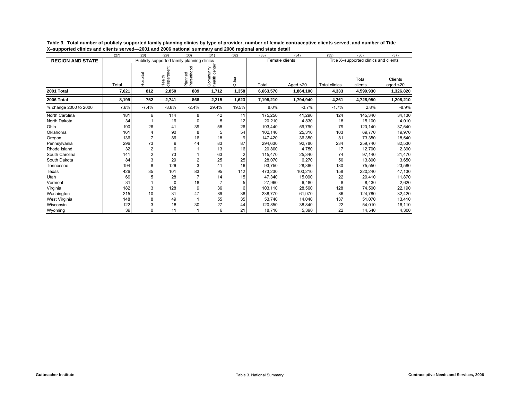|                         | (27)  | (28)           | (29)                 | (30)                                       | (31)                       | (32)                    | (33)      | (34)           | (35)                 | (36)                                  | (37)                   |
|-------------------------|-------|----------------|----------------------|--------------------------------------------|----------------------------|-------------------------|-----------|----------------|----------------------|---------------------------------------|------------------------|
| <b>REGION AND STATE</b> |       |                |                      | Publicly supported family planning clinics |                            |                         |           | Female clients |                      | Title X-supported clinics and clients |                        |
|                         | Total | Hospital       | department<br>Health | Planned<br>Parenthood                      | health center<br>Community | Other                   | Total     | Aged $<$ 20    | <b>Total clinics</b> | Total<br>clients                      | Clients<br>aged $<$ 20 |
| 2001 Total              | 7,621 | 812            | 2,850                | 889                                        | 1,712                      | 1,358                   | 6,663,570 | 1,864,100      | 4,333                | 4,599,930                             | 1,326,820              |
| 2006 Total              | 8,199 | 752            | 2,741                | 868                                        | 2,215                      | 1,623                   | 7,198,210 | 1,794,940      | 4,261                | 4,728,950                             | 1,208,210              |
| % change 2000 to 2006   | 7.6%  | $-7.4%$        | $-3.8%$              | $-2.4%$                                    | 29.4%                      | 19.5%                   | 8.0%      | $-3.7%$        | $-1.7%$              | 2.8%                                  | $-8.9%$                |
| North Carolina          | 181   | 6              | 114                  | 8                                          | 42                         | 11                      | 175,250   | 41,290         | 124                  | 145,340                               | 34,130                 |
| North Dakota            | 34    |                | 16                   | 0                                          | 5                          | 12                      | 20,210    | 4,830          | 18                   | 15,100                                | 4,010                  |
| Ohio                    | 190   | 26             | 41                   | 39                                         | 58                         | 26                      | 193,440   | 59,790         | 79                   | 120,140                               | 37,540                 |
| Oklahoma                | 161   |                | 90                   | 8                                          | 5                          | 54                      | 102.140   | 25,310         | 103                  | 69.770                                | 19,970                 |
| Oregon                  | 136   |                | 86                   | 16                                         | 18                         | 9                       | 147.420   | 36,350         | 81                   | 73,350                                | 18,540                 |
| Pennsylvania            | 296   | 73             | 9                    | 44                                         | 83                         | 87                      | 294,630   | 92,780         | 234                  | 259,740                               | 82,530                 |
| Rhode Island            | 32    | $\overline{2}$ | 0                    |                                            | 13                         | 16                      | 20,800    | 4,750          | 17                   | 12,700                                | 2,390                  |
| South Carolina          | 141   | $\overline{c}$ | 73                   |                                            | 63                         | $\overline{\mathbf{c}}$ | 115,470   | 25,340         | 74                   | 97,140                                | 21,470                 |
| South Dakota            | 84    | 3              | 29                   | $\overline{2}$                             | 25                         | 25                      | 28,070    | 6,270          | 50                   | 13,800                                | 3,650                  |
| Tennessee               | 194   | 8              | 126                  | 3                                          | 41                         | 16                      | 93,750    | 28,360         | 130                  | 75,550                                | 23,580                 |
| Texas                   | 426   | 35             | 101                  | 83                                         | 95                         | 112                     | 473,230   | 100,210        | 158                  | 220,240                               | 47,130                 |
| Utah                    | 69    |                | 28                   |                                            | 14                         | 15                      | 47,340    | 15,090         | 22                   | 29,410                                | 11,870                 |
| Vermont                 | 31    |                | 0                    | 18                                         |                            | 5                       | 27,960    | 6,480          | 8                    | 8,430                                 | 2,620                  |
| Virginia                | 182   | 3              | 128                  | 9                                          | 36                         | 6                       | 103,110   | 28,560         | 128                  | 74,500                                | 22,190                 |
| Washington              | 215   | 10             | 31                   | 47                                         | 89                         | 38                      | 238,770   | 61,970         | 86                   | 124,780                               | 32,420                 |
| West Virginia           | 148   | 8              | 49                   |                                            | 55                         | 35                      | 53,740    | 14,040         | 137                  | 51,070                                | 13,410                 |
| Wisconsin               | 122   | 3              | 18                   | 30                                         | 27                         | 44                      | 120,850   | 38,840         | 22                   | 54,010                                | 16,110                 |
| Wyoming                 | 39    | $\Omega$       | 11                   |                                            | 6                          | 21                      | 18,710    | 5,390          | 22                   | 14,540                                | 4,300                  |

**Table 3. Total number of publicly supported family planning clinics by type of provider, number of female contraceptive clients served, and number of Title X–supported clinics and clients served—2001 and 2006 national summary and 2006 regional and state detail**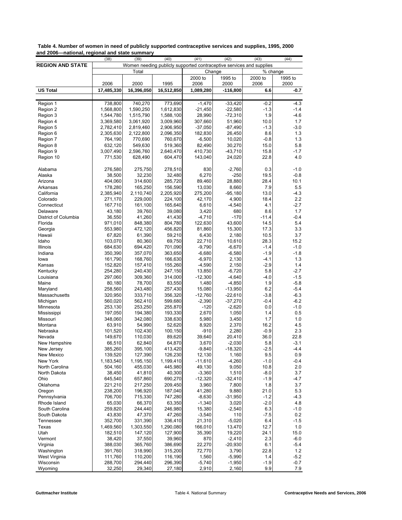| <b>REGION AND STATE</b><br>Women needing publicly supported contraceptive services and supplies<br>Total<br>Change<br>% change<br>2000 to<br>1995 to<br>2000 to<br>1995 to<br>2000<br>2006<br>2006<br>1995<br>2006<br>2000<br>2000<br><b>US Total</b><br>17,485,330<br>16,396,050<br>16,512,850<br>1,089,280<br>$-116,800$<br>6.6<br>$-0.7$<br>740,270<br>$-33,420$<br>$-4.3$<br>Region 1<br>738,800<br>773,690<br>$-1,470$<br>$-0.2$<br>$-1.4$<br>$-21,450$<br>$-22,580$<br>$-1.3$<br>Region 2<br>1,568,800<br>1,590,250<br>1,612,830<br>$-4.6$<br>1,544,780<br>1,515,790<br>1,588,100<br>28,990<br>$-72,310$<br>1.9<br>Region 3<br>3,009,960<br>307,660<br>51.960<br>10.0<br>1.7<br>Region 4<br>3,369,580<br>3,061,920<br>2,782,410<br>2,819,460<br>2,906,950<br>$-87,490$<br>$-1.3$<br>$-3.0$<br>Region 5<br>$-37,050$<br>2,305,630<br>2,122,800<br>2,096,350<br>182,830<br>26,450<br>8.6<br>1.3<br>Region 6<br>764,190<br>770,690<br>760.670<br>$-6,500$<br>10,020<br>$-0.8$<br>1.3<br>Region 7<br>5.8<br>632,120<br>549,630<br>519,360<br>82,490<br>30,270<br>15.0<br>Region 8<br>3,007,490<br>2,596,760<br>2,640,470<br>410,730<br>$-43,710$<br>15.8<br>$-1.7$<br>Region 9<br>4.0<br>771,530<br>628,490<br>143,040<br>24,020<br>22.8<br>Region 10<br>604,470<br>275,750<br>830<br>$-2,760$<br>0.3<br>$-1.0$<br>Alabama<br>276,580<br>278,510<br>$-250$<br>38,500<br>32,230<br>32,480<br>6,270<br>19.5<br>$-0.8$<br>Alaska<br>10.1<br>404,060<br>314,600<br>285,720<br>89,460<br>28,880<br>28.4<br>Arizona<br>8,660<br>178,280<br>165,250<br>156,590<br>13,030<br>7.9<br>5.5<br>Arkansas<br>$-4.3$<br>2,385,940<br>2,110,740<br>2,205,920<br>275,200<br>$-95,180$<br>13.0<br>California<br>4,900<br>271,170<br>229,000<br>224,100<br>42,170<br>18.4<br>2.2<br>Colorado<br>167,710<br>161,100<br>165,640<br>6,610<br>$-4,540$<br>4.1<br>$-2.7$<br>Connecticut<br>1.7<br>43,180<br>39.760<br>39,080<br>3,420<br>680<br>8.6<br>Delaware<br>$-170$<br>District of Columbia<br>36,550<br>41,260<br>41,430<br>$-4,710$<br>$-11.4$<br>$-0.4$<br>971,010<br>848,380<br>804,780<br>122,630<br>43,600<br>14.5<br>5.4<br>Florida<br>15,300<br>3.3<br>553,980<br>472,120<br>456,820<br>81,860<br>17.3<br>Georgia<br>67,820<br>61,390<br>59,210<br>6,430<br>2,180<br>10.5<br>3.7<br>Hawaii<br>15.2<br>103,070<br>80,360<br>69,750<br>22,710<br>10,610<br>28.3<br>Idaho<br>684,630<br>694,420<br>701,090<br>$-9,790$<br>$-6,670$<br>$-1.4$<br>$-1.0$<br>Illinois<br>350,390<br>357,070<br>363,650<br>$-6,680$<br>$-6,580$<br>$-1.9$<br>$-1.8$<br>Indiana<br>$-6,970$<br>2,130<br>$-4.1$<br>1.3<br>lowa<br>161,790<br>168,760<br>166,630<br>152,820<br>157,410<br>155,260<br>$-4,590$<br>2,150<br>$-2.9$<br>1.4<br>Kansas<br>254,280<br>240,430<br>247,150<br>13,850<br>$-6,720$<br>5.8<br>$-2.7$<br>Kentucky<br>309,360<br>314,000<br>$-12,300$<br>$-4,640$<br>$-4.0$<br>$-1.5$<br>Louisiana<br>297,060<br>$-5.8$<br>Maine<br>80,180<br>78,700<br>83,550<br>1,480<br>$-4,850$<br>1.9<br>6.2<br>258,560<br>243,480<br>257,430<br>15,080<br>$-13,950$<br>$-5.4$<br>Maryland<br>320,950<br>333,710<br>356,320<br>$-12,760$<br>$-22,610$<br>$-3.8$<br>$-6.3$<br>Massachusetts<br>562,410<br>599,680<br>$-2,390$<br>$-37,270$<br>$-0.4$<br>$-6.2$<br>Michigan<br>560,020<br>$-1.0$<br>253,130<br>253,250<br>255,870<br>$-120$<br>$-2,620$<br>0.0<br>Minnesota<br>194,380<br>193,330<br>2,670<br>1,050<br>1.4<br>0.5<br>Mississippi<br>197,050<br>1.7<br>348,060<br>342,080<br>338,630<br>5,980<br>3,450<br>1.0<br>Missouri<br>16.2<br>63,910<br>54,990<br>52,620<br>8,920<br>2,370<br>4.5<br>Montana<br>2.3<br>101,520<br>102,430<br>100,150<br>$-910$<br>2,280<br>$-0.9$<br>Nebraska<br>149,670<br>110,030<br>89,620<br>39,640<br>20,410<br>36.0<br>22.8<br>Nevada<br>66,510<br>62,840<br>64,870<br>3,670<br>$-2,030$<br>5.8<br>$-3.1$<br>New Hampshire<br>$-2.5$<br>$-18,320$<br>385,260<br>395,100<br>413,420<br>$-4.4$<br>-9,840<br>New Jersey<br>9.5<br>139,520<br>127,390<br>126,230<br>1,160<br>0.9<br>New Mexico<br>12,130<br>New York<br>1,183,540<br>1,195,150<br>1,199,410<br>$-11,610$<br>$-4,260$<br>$-1.0$<br>$-0.4$<br>9,050<br>504,160<br>455,030<br>445,980<br>49,130<br>10.8<br>2.0<br>North Carolina<br>41,810<br>$-3,360$<br>1,510<br>$-8.0$<br>3.7<br>North Dakota<br>38,450<br>40,300<br>645,540<br>657,860<br>690,270<br>$-12,320$<br>$-32,410$<br>$-1.9$<br>$-4.7$<br>Ohio<br>3,960<br>7,800<br>1.8<br>3.7<br>Oklahoma<br>221,210<br>217,250<br>209,450<br>238,200<br>196,920<br>187,040<br>41,280<br>9,880<br>21.0<br>5.3<br>Oregon<br>$-8,630$<br>$-31,950$<br>$-4.3$<br>Pennsylvania<br>706,700<br>715,330<br>747,280<br>$-1.2$<br>65,030<br>63,350<br>$-1,340$<br>$-2.0$<br>4.8<br>Rhode Island<br>66,370<br>3,020<br>$-1.0$<br>South Carolina<br>259,820<br>244,440<br>246,980<br>15,380<br>$-2,540$<br>6.3<br>$-7.5$<br>43,830<br>47,370<br>47,260<br>$-3,540$<br>110<br>0.2<br>South Dakota<br>352,700<br>331,390<br>336,410<br>21,310<br>$-5,020$<br>6.4<br>$-1.5$<br>Tennessee<br>1,303,550<br>1,290,080<br>166,010<br>13,470<br>12.7<br>Texas<br>1,469,560<br>1.0<br>Utah<br>182,510<br>147,120<br>127,900<br>35,390<br>19,220<br>24.1<br>15.0<br>38,420<br>37,550<br>39,960<br>870<br>$-2,410$<br>2.3<br>$-6.0$<br>Vermont<br>388,030<br>365,760<br>386,690<br>22,270<br>$-20,930$<br>6.1<br>$-5.4$<br>Virginia<br>318,990<br>315,200<br>72,770<br>3,790<br>22.8<br>1.2<br>Washington<br>391,760<br>$-5.2$<br>111,760<br>110,200<br>116,190<br>1,560<br>$-5,990$<br>1.4<br>West Virginia<br>$-0.7$<br>288,700<br>294,440<br>296,390<br>$-5,740$<br>$-1,950$<br>$-1.9$<br>Wisconsin | anu zuuu | -national, regional and state summary<br>(38) | (39)   | (40)   | (41)  | (42)  | (43) | (44) |
|---------------------------------------------------------------------------------------------------------------------------------------------------------------------------------------------------------------------------------------------------------------------------------------------------------------------------------------------------------------------------------------------------------------------------------------------------------------------------------------------------------------------------------------------------------------------------------------------------------------------------------------------------------------------------------------------------------------------------------------------------------------------------------------------------------------------------------------------------------------------------------------------------------------------------------------------------------------------------------------------------------------------------------------------------------------------------------------------------------------------------------------------------------------------------------------------------------------------------------------------------------------------------------------------------------------------------------------------------------------------------------------------------------------------------------------------------------------------------------------------------------------------------------------------------------------------------------------------------------------------------------------------------------------------------------------------------------------------------------------------------------------------------------------------------------------------------------------------------------------------------------------------------------------------------------------------------------------------------------------------------------------------------------------------------------------------------------------------------------------------------------------------------------------------------------------------------------------------------------------------------------------------------------------------------------------------------------------------------------------------------------------------------------------------------------------------------------------------------------------------------------------------------------------------------------------------------------------------------------------------------------------------------------------------------------------------------------------------------------------------------------------------------------------------------------------------------------------------------------------------------------------------------------------------------------------------------------------------------------------------------------------------------------------------------------------------------------------------------------------------------------------------------------------------------------------------------------------------------------------------------------------------------------------------------------------------------------------------------------------------------------------------------------------------------------------------------------------------------------------------------------------------------------------------------------------------------------------------------------------------------------------------------------------------------------------------------------------------------------------------------------------------------------------------------------------------------------------------------------------------------------------------------------------------------------------------------------------------------------------------------------------------------------------------------------------------------------------------------------------------------------------------------------------------------------------------------------------------------------------------------------------------------------------------------------------------------------------------------------------------------------------------------------------------------------------------------------------------------------------------------------------------------------------------------------------------------------------------------------------------------------------------------------------------------------------------------------------------------------------------------------------------------------------------------------------------------------------------------------------------------------------------------------------------------------------------------------------------------------------------------------------------------------------------------------------------------------------------------------------------------------------------------------------------------------------------------------------------------------------------------------------------------------------------------------------------------------------------------------------------------------------------------------------------------------------------------------------------------------------------------------------------------------------------------------------------------------------------------------|----------|-----------------------------------------------|--------|--------|-------|-------|------|------|
|                                                                                                                                                                                                                                                                                                                                                                                                                                                                                                                                                                                                                                                                                                                                                                                                                                                                                                                                                                                                                                                                                                                                                                                                                                                                                                                                                                                                                                                                                                                                                                                                                                                                                                                                                                                                                                                                                                                                                                                                                                                                                                                                                                                                                                                                                                                                                                                                                                                                                                                                                                                                                                                                                                                                                                                                                                                                                                                                                                                                                                                                                                                                                                                                                                                                                                                                                                                                                                                                                                                                                                                                                                                                                                                                                                                                                                                                                                                                                                                                                                                                                                                                                                                                                                                                                                                                                                                                                                                                                                                                                                                                                                                                                                                                                                                                                                                                                                                                                                                                                                                                                                                                                                                                                                                                                                                                                                                                                                                                                                                                                                                                         |          |                                               |        |        |       |       |      |      |
|                                                                                                                                                                                                                                                                                                                                                                                                                                                                                                                                                                                                                                                                                                                                                                                                                                                                                                                                                                                                                                                                                                                                                                                                                                                                                                                                                                                                                                                                                                                                                                                                                                                                                                                                                                                                                                                                                                                                                                                                                                                                                                                                                                                                                                                                                                                                                                                                                                                                                                                                                                                                                                                                                                                                                                                                                                                                                                                                                                                                                                                                                                                                                                                                                                                                                                                                                                                                                                                                                                                                                                                                                                                                                                                                                                                                                                                                                                                                                                                                                                                                                                                                                                                                                                                                                                                                                                                                                                                                                                                                                                                                                                                                                                                                                                                                                                                                                                                                                                                                                                                                                                                                                                                                                                                                                                                                                                                                                                                                                                                                                                                                         |          |                                               |        |        |       |       |      |      |
|                                                                                                                                                                                                                                                                                                                                                                                                                                                                                                                                                                                                                                                                                                                                                                                                                                                                                                                                                                                                                                                                                                                                                                                                                                                                                                                                                                                                                                                                                                                                                                                                                                                                                                                                                                                                                                                                                                                                                                                                                                                                                                                                                                                                                                                                                                                                                                                                                                                                                                                                                                                                                                                                                                                                                                                                                                                                                                                                                                                                                                                                                                                                                                                                                                                                                                                                                                                                                                                                                                                                                                                                                                                                                                                                                                                                                                                                                                                                                                                                                                                                                                                                                                                                                                                                                                                                                                                                                                                                                                                                                                                                                                                                                                                                                                                                                                                                                                                                                                                                                                                                                                                                                                                                                                                                                                                                                                                                                                                                                                                                                                                                         |          |                                               |        |        |       |       |      |      |
|                                                                                                                                                                                                                                                                                                                                                                                                                                                                                                                                                                                                                                                                                                                                                                                                                                                                                                                                                                                                                                                                                                                                                                                                                                                                                                                                                                                                                                                                                                                                                                                                                                                                                                                                                                                                                                                                                                                                                                                                                                                                                                                                                                                                                                                                                                                                                                                                                                                                                                                                                                                                                                                                                                                                                                                                                                                                                                                                                                                                                                                                                                                                                                                                                                                                                                                                                                                                                                                                                                                                                                                                                                                                                                                                                                                                                                                                                                                                                                                                                                                                                                                                                                                                                                                                                                                                                                                                                                                                                                                                                                                                                                                                                                                                                                                                                                                                                                                                                                                                                                                                                                                                                                                                                                                                                                                                                                                                                                                                                                                                                                                                         |          |                                               |        |        |       |       |      |      |
|                                                                                                                                                                                                                                                                                                                                                                                                                                                                                                                                                                                                                                                                                                                                                                                                                                                                                                                                                                                                                                                                                                                                                                                                                                                                                                                                                                                                                                                                                                                                                                                                                                                                                                                                                                                                                                                                                                                                                                                                                                                                                                                                                                                                                                                                                                                                                                                                                                                                                                                                                                                                                                                                                                                                                                                                                                                                                                                                                                                                                                                                                                                                                                                                                                                                                                                                                                                                                                                                                                                                                                                                                                                                                                                                                                                                                                                                                                                                                                                                                                                                                                                                                                                                                                                                                                                                                                                                                                                                                                                                                                                                                                                                                                                                                                                                                                                                                                                                                                                                                                                                                                                                                                                                                                                                                                                                                                                                                                                                                                                                                                                                         |          |                                               |        |        |       |       |      |      |
|                                                                                                                                                                                                                                                                                                                                                                                                                                                                                                                                                                                                                                                                                                                                                                                                                                                                                                                                                                                                                                                                                                                                                                                                                                                                                                                                                                                                                                                                                                                                                                                                                                                                                                                                                                                                                                                                                                                                                                                                                                                                                                                                                                                                                                                                                                                                                                                                                                                                                                                                                                                                                                                                                                                                                                                                                                                                                                                                                                                                                                                                                                                                                                                                                                                                                                                                                                                                                                                                                                                                                                                                                                                                                                                                                                                                                                                                                                                                                                                                                                                                                                                                                                                                                                                                                                                                                                                                                                                                                                                                                                                                                                                                                                                                                                                                                                                                                                                                                                                                                                                                                                                                                                                                                                                                                                                                                                                                                                                                                                                                                                                                         |          |                                               |        |        |       |       |      |      |
|                                                                                                                                                                                                                                                                                                                                                                                                                                                                                                                                                                                                                                                                                                                                                                                                                                                                                                                                                                                                                                                                                                                                                                                                                                                                                                                                                                                                                                                                                                                                                                                                                                                                                                                                                                                                                                                                                                                                                                                                                                                                                                                                                                                                                                                                                                                                                                                                                                                                                                                                                                                                                                                                                                                                                                                                                                                                                                                                                                                                                                                                                                                                                                                                                                                                                                                                                                                                                                                                                                                                                                                                                                                                                                                                                                                                                                                                                                                                                                                                                                                                                                                                                                                                                                                                                                                                                                                                                                                                                                                                                                                                                                                                                                                                                                                                                                                                                                                                                                                                                                                                                                                                                                                                                                                                                                                                                                                                                                                                                                                                                                                                         |          |                                               |        |        |       |       |      |      |
|                                                                                                                                                                                                                                                                                                                                                                                                                                                                                                                                                                                                                                                                                                                                                                                                                                                                                                                                                                                                                                                                                                                                                                                                                                                                                                                                                                                                                                                                                                                                                                                                                                                                                                                                                                                                                                                                                                                                                                                                                                                                                                                                                                                                                                                                                                                                                                                                                                                                                                                                                                                                                                                                                                                                                                                                                                                                                                                                                                                                                                                                                                                                                                                                                                                                                                                                                                                                                                                                                                                                                                                                                                                                                                                                                                                                                                                                                                                                                                                                                                                                                                                                                                                                                                                                                                                                                                                                                                                                                                                                                                                                                                                                                                                                                                                                                                                                                                                                                                                                                                                                                                                                                                                                                                                                                                                                                                                                                                                                                                                                                                                                         |          |                                               |        |        |       |       |      |      |
|                                                                                                                                                                                                                                                                                                                                                                                                                                                                                                                                                                                                                                                                                                                                                                                                                                                                                                                                                                                                                                                                                                                                                                                                                                                                                                                                                                                                                                                                                                                                                                                                                                                                                                                                                                                                                                                                                                                                                                                                                                                                                                                                                                                                                                                                                                                                                                                                                                                                                                                                                                                                                                                                                                                                                                                                                                                                                                                                                                                                                                                                                                                                                                                                                                                                                                                                                                                                                                                                                                                                                                                                                                                                                                                                                                                                                                                                                                                                                                                                                                                                                                                                                                                                                                                                                                                                                                                                                                                                                                                                                                                                                                                                                                                                                                                                                                                                                                                                                                                                                                                                                                                                                                                                                                                                                                                                                                                                                                                                                                                                                                                                         |          |                                               |        |        |       |       |      |      |
|                                                                                                                                                                                                                                                                                                                                                                                                                                                                                                                                                                                                                                                                                                                                                                                                                                                                                                                                                                                                                                                                                                                                                                                                                                                                                                                                                                                                                                                                                                                                                                                                                                                                                                                                                                                                                                                                                                                                                                                                                                                                                                                                                                                                                                                                                                                                                                                                                                                                                                                                                                                                                                                                                                                                                                                                                                                                                                                                                                                                                                                                                                                                                                                                                                                                                                                                                                                                                                                                                                                                                                                                                                                                                                                                                                                                                                                                                                                                                                                                                                                                                                                                                                                                                                                                                                                                                                                                                                                                                                                                                                                                                                                                                                                                                                                                                                                                                                                                                                                                                                                                                                                                                                                                                                                                                                                                                                                                                                                                                                                                                                                                         |          |                                               |        |        |       |       |      |      |
|                                                                                                                                                                                                                                                                                                                                                                                                                                                                                                                                                                                                                                                                                                                                                                                                                                                                                                                                                                                                                                                                                                                                                                                                                                                                                                                                                                                                                                                                                                                                                                                                                                                                                                                                                                                                                                                                                                                                                                                                                                                                                                                                                                                                                                                                                                                                                                                                                                                                                                                                                                                                                                                                                                                                                                                                                                                                                                                                                                                                                                                                                                                                                                                                                                                                                                                                                                                                                                                                                                                                                                                                                                                                                                                                                                                                                                                                                                                                                                                                                                                                                                                                                                                                                                                                                                                                                                                                                                                                                                                                                                                                                                                                                                                                                                                                                                                                                                                                                                                                                                                                                                                                                                                                                                                                                                                                                                                                                                                                                                                                                                                                         |          |                                               |        |        |       |       |      |      |
|                                                                                                                                                                                                                                                                                                                                                                                                                                                                                                                                                                                                                                                                                                                                                                                                                                                                                                                                                                                                                                                                                                                                                                                                                                                                                                                                                                                                                                                                                                                                                                                                                                                                                                                                                                                                                                                                                                                                                                                                                                                                                                                                                                                                                                                                                                                                                                                                                                                                                                                                                                                                                                                                                                                                                                                                                                                                                                                                                                                                                                                                                                                                                                                                                                                                                                                                                                                                                                                                                                                                                                                                                                                                                                                                                                                                                                                                                                                                                                                                                                                                                                                                                                                                                                                                                                                                                                                                                                                                                                                                                                                                                                                                                                                                                                                                                                                                                                                                                                                                                                                                                                                                                                                                                                                                                                                                                                                                                                                                                                                                                                                                         |          |                                               |        |        |       |       |      |      |
|                                                                                                                                                                                                                                                                                                                                                                                                                                                                                                                                                                                                                                                                                                                                                                                                                                                                                                                                                                                                                                                                                                                                                                                                                                                                                                                                                                                                                                                                                                                                                                                                                                                                                                                                                                                                                                                                                                                                                                                                                                                                                                                                                                                                                                                                                                                                                                                                                                                                                                                                                                                                                                                                                                                                                                                                                                                                                                                                                                                                                                                                                                                                                                                                                                                                                                                                                                                                                                                                                                                                                                                                                                                                                                                                                                                                                                                                                                                                                                                                                                                                                                                                                                                                                                                                                                                                                                                                                                                                                                                                                                                                                                                                                                                                                                                                                                                                                                                                                                                                                                                                                                                                                                                                                                                                                                                                                                                                                                                                                                                                                                                                         |          |                                               |        |        |       |       |      |      |
|                                                                                                                                                                                                                                                                                                                                                                                                                                                                                                                                                                                                                                                                                                                                                                                                                                                                                                                                                                                                                                                                                                                                                                                                                                                                                                                                                                                                                                                                                                                                                                                                                                                                                                                                                                                                                                                                                                                                                                                                                                                                                                                                                                                                                                                                                                                                                                                                                                                                                                                                                                                                                                                                                                                                                                                                                                                                                                                                                                                                                                                                                                                                                                                                                                                                                                                                                                                                                                                                                                                                                                                                                                                                                                                                                                                                                                                                                                                                                                                                                                                                                                                                                                                                                                                                                                                                                                                                                                                                                                                                                                                                                                                                                                                                                                                                                                                                                                                                                                                                                                                                                                                                                                                                                                                                                                                                                                                                                                                                                                                                                                                                         |          |                                               |        |        |       |       |      |      |
|                                                                                                                                                                                                                                                                                                                                                                                                                                                                                                                                                                                                                                                                                                                                                                                                                                                                                                                                                                                                                                                                                                                                                                                                                                                                                                                                                                                                                                                                                                                                                                                                                                                                                                                                                                                                                                                                                                                                                                                                                                                                                                                                                                                                                                                                                                                                                                                                                                                                                                                                                                                                                                                                                                                                                                                                                                                                                                                                                                                                                                                                                                                                                                                                                                                                                                                                                                                                                                                                                                                                                                                                                                                                                                                                                                                                                                                                                                                                                                                                                                                                                                                                                                                                                                                                                                                                                                                                                                                                                                                                                                                                                                                                                                                                                                                                                                                                                                                                                                                                                                                                                                                                                                                                                                                                                                                                                                                                                                                                                                                                                                                                         |          |                                               |        |        |       |       |      |      |
|                                                                                                                                                                                                                                                                                                                                                                                                                                                                                                                                                                                                                                                                                                                                                                                                                                                                                                                                                                                                                                                                                                                                                                                                                                                                                                                                                                                                                                                                                                                                                                                                                                                                                                                                                                                                                                                                                                                                                                                                                                                                                                                                                                                                                                                                                                                                                                                                                                                                                                                                                                                                                                                                                                                                                                                                                                                                                                                                                                                                                                                                                                                                                                                                                                                                                                                                                                                                                                                                                                                                                                                                                                                                                                                                                                                                                                                                                                                                                                                                                                                                                                                                                                                                                                                                                                                                                                                                                                                                                                                                                                                                                                                                                                                                                                                                                                                                                                                                                                                                                                                                                                                                                                                                                                                                                                                                                                                                                                                                                                                                                                                                         |          |                                               |        |        |       |       |      |      |
|                                                                                                                                                                                                                                                                                                                                                                                                                                                                                                                                                                                                                                                                                                                                                                                                                                                                                                                                                                                                                                                                                                                                                                                                                                                                                                                                                                                                                                                                                                                                                                                                                                                                                                                                                                                                                                                                                                                                                                                                                                                                                                                                                                                                                                                                                                                                                                                                                                                                                                                                                                                                                                                                                                                                                                                                                                                                                                                                                                                                                                                                                                                                                                                                                                                                                                                                                                                                                                                                                                                                                                                                                                                                                                                                                                                                                                                                                                                                                                                                                                                                                                                                                                                                                                                                                                                                                                                                                                                                                                                                                                                                                                                                                                                                                                                                                                                                                                                                                                                                                                                                                                                                                                                                                                                                                                                                                                                                                                                                                                                                                                                                         |          |                                               |        |        |       |       |      |      |
|                                                                                                                                                                                                                                                                                                                                                                                                                                                                                                                                                                                                                                                                                                                                                                                                                                                                                                                                                                                                                                                                                                                                                                                                                                                                                                                                                                                                                                                                                                                                                                                                                                                                                                                                                                                                                                                                                                                                                                                                                                                                                                                                                                                                                                                                                                                                                                                                                                                                                                                                                                                                                                                                                                                                                                                                                                                                                                                                                                                                                                                                                                                                                                                                                                                                                                                                                                                                                                                                                                                                                                                                                                                                                                                                                                                                                                                                                                                                                                                                                                                                                                                                                                                                                                                                                                                                                                                                                                                                                                                                                                                                                                                                                                                                                                                                                                                                                                                                                                                                                                                                                                                                                                                                                                                                                                                                                                                                                                                                                                                                                                                                         |          |                                               |        |        |       |       |      |      |
|                                                                                                                                                                                                                                                                                                                                                                                                                                                                                                                                                                                                                                                                                                                                                                                                                                                                                                                                                                                                                                                                                                                                                                                                                                                                                                                                                                                                                                                                                                                                                                                                                                                                                                                                                                                                                                                                                                                                                                                                                                                                                                                                                                                                                                                                                                                                                                                                                                                                                                                                                                                                                                                                                                                                                                                                                                                                                                                                                                                                                                                                                                                                                                                                                                                                                                                                                                                                                                                                                                                                                                                                                                                                                                                                                                                                                                                                                                                                                                                                                                                                                                                                                                                                                                                                                                                                                                                                                                                                                                                                                                                                                                                                                                                                                                                                                                                                                                                                                                                                                                                                                                                                                                                                                                                                                                                                                                                                                                                                                                                                                                                                         |          |                                               |        |        |       |       |      |      |
|                                                                                                                                                                                                                                                                                                                                                                                                                                                                                                                                                                                                                                                                                                                                                                                                                                                                                                                                                                                                                                                                                                                                                                                                                                                                                                                                                                                                                                                                                                                                                                                                                                                                                                                                                                                                                                                                                                                                                                                                                                                                                                                                                                                                                                                                                                                                                                                                                                                                                                                                                                                                                                                                                                                                                                                                                                                                                                                                                                                                                                                                                                                                                                                                                                                                                                                                                                                                                                                                                                                                                                                                                                                                                                                                                                                                                                                                                                                                                                                                                                                                                                                                                                                                                                                                                                                                                                                                                                                                                                                                                                                                                                                                                                                                                                                                                                                                                                                                                                                                                                                                                                                                                                                                                                                                                                                                                                                                                                                                                                                                                                                                         |          |                                               |        |        |       |       |      |      |
|                                                                                                                                                                                                                                                                                                                                                                                                                                                                                                                                                                                                                                                                                                                                                                                                                                                                                                                                                                                                                                                                                                                                                                                                                                                                                                                                                                                                                                                                                                                                                                                                                                                                                                                                                                                                                                                                                                                                                                                                                                                                                                                                                                                                                                                                                                                                                                                                                                                                                                                                                                                                                                                                                                                                                                                                                                                                                                                                                                                                                                                                                                                                                                                                                                                                                                                                                                                                                                                                                                                                                                                                                                                                                                                                                                                                                                                                                                                                                                                                                                                                                                                                                                                                                                                                                                                                                                                                                                                                                                                                                                                                                                                                                                                                                                                                                                                                                                                                                                                                                                                                                                                                                                                                                                                                                                                                                                                                                                                                                                                                                                                                         |          |                                               |        |        |       |       |      |      |
|                                                                                                                                                                                                                                                                                                                                                                                                                                                                                                                                                                                                                                                                                                                                                                                                                                                                                                                                                                                                                                                                                                                                                                                                                                                                                                                                                                                                                                                                                                                                                                                                                                                                                                                                                                                                                                                                                                                                                                                                                                                                                                                                                                                                                                                                                                                                                                                                                                                                                                                                                                                                                                                                                                                                                                                                                                                                                                                                                                                                                                                                                                                                                                                                                                                                                                                                                                                                                                                                                                                                                                                                                                                                                                                                                                                                                                                                                                                                                                                                                                                                                                                                                                                                                                                                                                                                                                                                                                                                                                                                                                                                                                                                                                                                                                                                                                                                                                                                                                                                                                                                                                                                                                                                                                                                                                                                                                                                                                                                                                                                                                                                         |          |                                               |        |        |       |       |      |      |
|                                                                                                                                                                                                                                                                                                                                                                                                                                                                                                                                                                                                                                                                                                                                                                                                                                                                                                                                                                                                                                                                                                                                                                                                                                                                                                                                                                                                                                                                                                                                                                                                                                                                                                                                                                                                                                                                                                                                                                                                                                                                                                                                                                                                                                                                                                                                                                                                                                                                                                                                                                                                                                                                                                                                                                                                                                                                                                                                                                                                                                                                                                                                                                                                                                                                                                                                                                                                                                                                                                                                                                                                                                                                                                                                                                                                                                                                                                                                                                                                                                                                                                                                                                                                                                                                                                                                                                                                                                                                                                                                                                                                                                                                                                                                                                                                                                                                                                                                                                                                                                                                                                                                                                                                                                                                                                                                                                                                                                                                                                                                                                                                         |          |                                               |        |        |       |       |      |      |
|                                                                                                                                                                                                                                                                                                                                                                                                                                                                                                                                                                                                                                                                                                                                                                                                                                                                                                                                                                                                                                                                                                                                                                                                                                                                                                                                                                                                                                                                                                                                                                                                                                                                                                                                                                                                                                                                                                                                                                                                                                                                                                                                                                                                                                                                                                                                                                                                                                                                                                                                                                                                                                                                                                                                                                                                                                                                                                                                                                                                                                                                                                                                                                                                                                                                                                                                                                                                                                                                                                                                                                                                                                                                                                                                                                                                                                                                                                                                                                                                                                                                                                                                                                                                                                                                                                                                                                                                                                                                                                                                                                                                                                                                                                                                                                                                                                                                                                                                                                                                                                                                                                                                                                                                                                                                                                                                                                                                                                                                                                                                                                                                         |          |                                               |        |        |       |       |      |      |
|                                                                                                                                                                                                                                                                                                                                                                                                                                                                                                                                                                                                                                                                                                                                                                                                                                                                                                                                                                                                                                                                                                                                                                                                                                                                                                                                                                                                                                                                                                                                                                                                                                                                                                                                                                                                                                                                                                                                                                                                                                                                                                                                                                                                                                                                                                                                                                                                                                                                                                                                                                                                                                                                                                                                                                                                                                                                                                                                                                                                                                                                                                                                                                                                                                                                                                                                                                                                                                                                                                                                                                                                                                                                                                                                                                                                                                                                                                                                                                                                                                                                                                                                                                                                                                                                                                                                                                                                                                                                                                                                                                                                                                                                                                                                                                                                                                                                                                                                                                                                                                                                                                                                                                                                                                                                                                                                                                                                                                                                                                                                                                                                         |          |                                               |        |        |       |       |      |      |
|                                                                                                                                                                                                                                                                                                                                                                                                                                                                                                                                                                                                                                                                                                                                                                                                                                                                                                                                                                                                                                                                                                                                                                                                                                                                                                                                                                                                                                                                                                                                                                                                                                                                                                                                                                                                                                                                                                                                                                                                                                                                                                                                                                                                                                                                                                                                                                                                                                                                                                                                                                                                                                                                                                                                                                                                                                                                                                                                                                                                                                                                                                                                                                                                                                                                                                                                                                                                                                                                                                                                                                                                                                                                                                                                                                                                                                                                                                                                                                                                                                                                                                                                                                                                                                                                                                                                                                                                                                                                                                                                                                                                                                                                                                                                                                                                                                                                                                                                                                                                                                                                                                                                                                                                                                                                                                                                                                                                                                                                                                                                                                                                         |          |                                               |        |        |       |       |      |      |
|                                                                                                                                                                                                                                                                                                                                                                                                                                                                                                                                                                                                                                                                                                                                                                                                                                                                                                                                                                                                                                                                                                                                                                                                                                                                                                                                                                                                                                                                                                                                                                                                                                                                                                                                                                                                                                                                                                                                                                                                                                                                                                                                                                                                                                                                                                                                                                                                                                                                                                                                                                                                                                                                                                                                                                                                                                                                                                                                                                                                                                                                                                                                                                                                                                                                                                                                                                                                                                                                                                                                                                                                                                                                                                                                                                                                                                                                                                                                                                                                                                                                                                                                                                                                                                                                                                                                                                                                                                                                                                                                                                                                                                                                                                                                                                                                                                                                                                                                                                                                                                                                                                                                                                                                                                                                                                                                                                                                                                                                                                                                                                                                         |          |                                               |        |        |       |       |      |      |
|                                                                                                                                                                                                                                                                                                                                                                                                                                                                                                                                                                                                                                                                                                                                                                                                                                                                                                                                                                                                                                                                                                                                                                                                                                                                                                                                                                                                                                                                                                                                                                                                                                                                                                                                                                                                                                                                                                                                                                                                                                                                                                                                                                                                                                                                                                                                                                                                                                                                                                                                                                                                                                                                                                                                                                                                                                                                                                                                                                                                                                                                                                                                                                                                                                                                                                                                                                                                                                                                                                                                                                                                                                                                                                                                                                                                                                                                                                                                                                                                                                                                                                                                                                                                                                                                                                                                                                                                                                                                                                                                                                                                                                                                                                                                                                                                                                                                                                                                                                                                                                                                                                                                                                                                                                                                                                                                                                                                                                                                                                                                                                                                         |          |                                               |        |        |       |       |      |      |
|                                                                                                                                                                                                                                                                                                                                                                                                                                                                                                                                                                                                                                                                                                                                                                                                                                                                                                                                                                                                                                                                                                                                                                                                                                                                                                                                                                                                                                                                                                                                                                                                                                                                                                                                                                                                                                                                                                                                                                                                                                                                                                                                                                                                                                                                                                                                                                                                                                                                                                                                                                                                                                                                                                                                                                                                                                                                                                                                                                                                                                                                                                                                                                                                                                                                                                                                                                                                                                                                                                                                                                                                                                                                                                                                                                                                                                                                                                                                                                                                                                                                                                                                                                                                                                                                                                                                                                                                                                                                                                                                                                                                                                                                                                                                                                                                                                                                                                                                                                                                                                                                                                                                                                                                                                                                                                                                                                                                                                                                                                                                                                                                         |          |                                               |        |        |       |       |      |      |
|                                                                                                                                                                                                                                                                                                                                                                                                                                                                                                                                                                                                                                                                                                                                                                                                                                                                                                                                                                                                                                                                                                                                                                                                                                                                                                                                                                                                                                                                                                                                                                                                                                                                                                                                                                                                                                                                                                                                                                                                                                                                                                                                                                                                                                                                                                                                                                                                                                                                                                                                                                                                                                                                                                                                                                                                                                                                                                                                                                                                                                                                                                                                                                                                                                                                                                                                                                                                                                                                                                                                                                                                                                                                                                                                                                                                                                                                                                                                                                                                                                                                                                                                                                                                                                                                                                                                                                                                                                                                                                                                                                                                                                                                                                                                                                                                                                                                                                                                                                                                                                                                                                                                                                                                                                                                                                                                                                                                                                                                                                                                                                                                         |          |                                               |        |        |       |       |      |      |
|                                                                                                                                                                                                                                                                                                                                                                                                                                                                                                                                                                                                                                                                                                                                                                                                                                                                                                                                                                                                                                                                                                                                                                                                                                                                                                                                                                                                                                                                                                                                                                                                                                                                                                                                                                                                                                                                                                                                                                                                                                                                                                                                                                                                                                                                                                                                                                                                                                                                                                                                                                                                                                                                                                                                                                                                                                                                                                                                                                                                                                                                                                                                                                                                                                                                                                                                                                                                                                                                                                                                                                                                                                                                                                                                                                                                                                                                                                                                                                                                                                                                                                                                                                                                                                                                                                                                                                                                                                                                                                                                                                                                                                                                                                                                                                                                                                                                                                                                                                                                                                                                                                                                                                                                                                                                                                                                                                                                                                                                                                                                                                                                         |          |                                               |        |        |       |       |      |      |
|                                                                                                                                                                                                                                                                                                                                                                                                                                                                                                                                                                                                                                                                                                                                                                                                                                                                                                                                                                                                                                                                                                                                                                                                                                                                                                                                                                                                                                                                                                                                                                                                                                                                                                                                                                                                                                                                                                                                                                                                                                                                                                                                                                                                                                                                                                                                                                                                                                                                                                                                                                                                                                                                                                                                                                                                                                                                                                                                                                                                                                                                                                                                                                                                                                                                                                                                                                                                                                                                                                                                                                                                                                                                                                                                                                                                                                                                                                                                                                                                                                                                                                                                                                                                                                                                                                                                                                                                                                                                                                                                                                                                                                                                                                                                                                                                                                                                                                                                                                                                                                                                                                                                                                                                                                                                                                                                                                                                                                                                                                                                                                                                         |          |                                               |        |        |       |       |      |      |
|                                                                                                                                                                                                                                                                                                                                                                                                                                                                                                                                                                                                                                                                                                                                                                                                                                                                                                                                                                                                                                                                                                                                                                                                                                                                                                                                                                                                                                                                                                                                                                                                                                                                                                                                                                                                                                                                                                                                                                                                                                                                                                                                                                                                                                                                                                                                                                                                                                                                                                                                                                                                                                                                                                                                                                                                                                                                                                                                                                                                                                                                                                                                                                                                                                                                                                                                                                                                                                                                                                                                                                                                                                                                                                                                                                                                                                                                                                                                                                                                                                                                                                                                                                                                                                                                                                                                                                                                                                                                                                                                                                                                                                                                                                                                                                                                                                                                                                                                                                                                                                                                                                                                                                                                                                                                                                                                                                                                                                                                                                                                                                                                         |          |                                               |        |        |       |       |      |      |
|                                                                                                                                                                                                                                                                                                                                                                                                                                                                                                                                                                                                                                                                                                                                                                                                                                                                                                                                                                                                                                                                                                                                                                                                                                                                                                                                                                                                                                                                                                                                                                                                                                                                                                                                                                                                                                                                                                                                                                                                                                                                                                                                                                                                                                                                                                                                                                                                                                                                                                                                                                                                                                                                                                                                                                                                                                                                                                                                                                                                                                                                                                                                                                                                                                                                                                                                                                                                                                                                                                                                                                                                                                                                                                                                                                                                                                                                                                                                                                                                                                                                                                                                                                                                                                                                                                                                                                                                                                                                                                                                                                                                                                                                                                                                                                                                                                                                                                                                                                                                                                                                                                                                                                                                                                                                                                                                                                                                                                                                                                                                                                                                         |          |                                               |        |        |       |       |      |      |
|                                                                                                                                                                                                                                                                                                                                                                                                                                                                                                                                                                                                                                                                                                                                                                                                                                                                                                                                                                                                                                                                                                                                                                                                                                                                                                                                                                                                                                                                                                                                                                                                                                                                                                                                                                                                                                                                                                                                                                                                                                                                                                                                                                                                                                                                                                                                                                                                                                                                                                                                                                                                                                                                                                                                                                                                                                                                                                                                                                                                                                                                                                                                                                                                                                                                                                                                                                                                                                                                                                                                                                                                                                                                                                                                                                                                                                                                                                                                                                                                                                                                                                                                                                                                                                                                                                                                                                                                                                                                                                                                                                                                                                                                                                                                                                                                                                                                                                                                                                                                                                                                                                                                                                                                                                                                                                                                                                                                                                                                                                                                                                                                         |          |                                               |        |        |       |       |      |      |
|                                                                                                                                                                                                                                                                                                                                                                                                                                                                                                                                                                                                                                                                                                                                                                                                                                                                                                                                                                                                                                                                                                                                                                                                                                                                                                                                                                                                                                                                                                                                                                                                                                                                                                                                                                                                                                                                                                                                                                                                                                                                                                                                                                                                                                                                                                                                                                                                                                                                                                                                                                                                                                                                                                                                                                                                                                                                                                                                                                                                                                                                                                                                                                                                                                                                                                                                                                                                                                                                                                                                                                                                                                                                                                                                                                                                                                                                                                                                                                                                                                                                                                                                                                                                                                                                                                                                                                                                                                                                                                                                                                                                                                                                                                                                                                                                                                                                                                                                                                                                                                                                                                                                                                                                                                                                                                                                                                                                                                                                                                                                                                                                         |          |                                               |        |        |       |       |      |      |
|                                                                                                                                                                                                                                                                                                                                                                                                                                                                                                                                                                                                                                                                                                                                                                                                                                                                                                                                                                                                                                                                                                                                                                                                                                                                                                                                                                                                                                                                                                                                                                                                                                                                                                                                                                                                                                                                                                                                                                                                                                                                                                                                                                                                                                                                                                                                                                                                                                                                                                                                                                                                                                                                                                                                                                                                                                                                                                                                                                                                                                                                                                                                                                                                                                                                                                                                                                                                                                                                                                                                                                                                                                                                                                                                                                                                                                                                                                                                                                                                                                                                                                                                                                                                                                                                                                                                                                                                                                                                                                                                                                                                                                                                                                                                                                                                                                                                                                                                                                                                                                                                                                                                                                                                                                                                                                                                                                                                                                                                                                                                                                                                         |          |                                               |        |        |       |       |      |      |
|                                                                                                                                                                                                                                                                                                                                                                                                                                                                                                                                                                                                                                                                                                                                                                                                                                                                                                                                                                                                                                                                                                                                                                                                                                                                                                                                                                                                                                                                                                                                                                                                                                                                                                                                                                                                                                                                                                                                                                                                                                                                                                                                                                                                                                                                                                                                                                                                                                                                                                                                                                                                                                                                                                                                                                                                                                                                                                                                                                                                                                                                                                                                                                                                                                                                                                                                                                                                                                                                                                                                                                                                                                                                                                                                                                                                                                                                                                                                                                                                                                                                                                                                                                                                                                                                                                                                                                                                                                                                                                                                                                                                                                                                                                                                                                                                                                                                                                                                                                                                                                                                                                                                                                                                                                                                                                                                                                                                                                                                                                                                                                                                         |          |                                               |        |        |       |       |      |      |
|                                                                                                                                                                                                                                                                                                                                                                                                                                                                                                                                                                                                                                                                                                                                                                                                                                                                                                                                                                                                                                                                                                                                                                                                                                                                                                                                                                                                                                                                                                                                                                                                                                                                                                                                                                                                                                                                                                                                                                                                                                                                                                                                                                                                                                                                                                                                                                                                                                                                                                                                                                                                                                                                                                                                                                                                                                                                                                                                                                                                                                                                                                                                                                                                                                                                                                                                                                                                                                                                                                                                                                                                                                                                                                                                                                                                                                                                                                                                                                                                                                                                                                                                                                                                                                                                                                                                                                                                                                                                                                                                                                                                                                                                                                                                                                                                                                                                                                                                                                                                                                                                                                                                                                                                                                                                                                                                                                                                                                                                                                                                                                                                         |          |                                               |        |        |       |       |      |      |
|                                                                                                                                                                                                                                                                                                                                                                                                                                                                                                                                                                                                                                                                                                                                                                                                                                                                                                                                                                                                                                                                                                                                                                                                                                                                                                                                                                                                                                                                                                                                                                                                                                                                                                                                                                                                                                                                                                                                                                                                                                                                                                                                                                                                                                                                                                                                                                                                                                                                                                                                                                                                                                                                                                                                                                                                                                                                                                                                                                                                                                                                                                                                                                                                                                                                                                                                                                                                                                                                                                                                                                                                                                                                                                                                                                                                                                                                                                                                                                                                                                                                                                                                                                                                                                                                                                                                                                                                                                                                                                                                                                                                                                                                                                                                                                                                                                                                                                                                                                                                                                                                                                                                                                                                                                                                                                                                                                                                                                                                                                                                                                                                         |          |                                               |        |        |       |       |      |      |
|                                                                                                                                                                                                                                                                                                                                                                                                                                                                                                                                                                                                                                                                                                                                                                                                                                                                                                                                                                                                                                                                                                                                                                                                                                                                                                                                                                                                                                                                                                                                                                                                                                                                                                                                                                                                                                                                                                                                                                                                                                                                                                                                                                                                                                                                                                                                                                                                                                                                                                                                                                                                                                                                                                                                                                                                                                                                                                                                                                                                                                                                                                                                                                                                                                                                                                                                                                                                                                                                                                                                                                                                                                                                                                                                                                                                                                                                                                                                                                                                                                                                                                                                                                                                                                                                                                                                                                                                                                                                                                                                                                                                                                                                                                                                                                                                                                                                                                                                                                                                                                                                                                                                                                                                                                                                                                                                                                                                                                                                                                                                                                                                         |          |                                               |        |        |       |       |      |      |
|                                                                                                                                                                                                                                                                                                                                                                                                                                                                                                                                                                                                                                                                                                                                                                                                                                                                                                                                                                                                                                                                                                                                                                                                                                                                                                                                                                                                                                                                                                                                                                                                                                                                                                                                                                                                                                                                                                                                                                                                                                                                                                                                                                                                                                                                                                                                                                                                                                                                                                                                                                                                                                                                                                                                                                                                                                                                                                                                                                                                                                                                                                                                                                                                                                                                                                                                                                                                                                                                                                                                                                                                                                                                                                                                                                                                                                                                                                                                                                                                                                                                                                                                                                                                                                                                                                                                                                                                                                                                                                                                                                                                                                                                                                                                                                                                                                                                                                                                                                                                                                                                                                                                                                                                                                                                                                                                                                                                                                                                                                                                                                                                         |          |                                               |        |        |       |       |      |      |
|                                                                                                                                                                                                                                                                                                                                                                                                                                                                                                                                                                                                                                                                                                                                                                                                                                                                                                                                                                                                                                                                                                                                                                                                                                                                                                                                                                                                                                                                                                                                                                                                                                                                                                                                                                                                                                                                                                                                                                                                                                                                                                                                                                                                                                                                                                                                                                                                                                                                                                                                                                                                                                                                                                                                                                                                                                                                                                                                                                                                                                                                                                                                                                                                                                                                                                                                                                                                                                                                                                                                                                                                                                                                                                                                                                                                                                                                                                                                                                                                                                                                                                                                                                                                                                                                                                                                                                                                                                                                                                                                                                                                                                                                                                                                                                                                                                                                                                                                                                                                                                                                                                                                                                                                                                                                                                                                                                                                                                                                                                                                                                                                         |          |                                               |        |        |       |       |      |      |
|                                                                                                                                                                                                                                                                                                                                                                                                                                                                                                                                                                                                                                                                                                                                                                                                                                                                                                                                                                                                                                                                                                                                                                                                                                                                                                                                                                                                                                                                                                                                                                                                                                                                                                                                                                                                                                                                                                                                                                                                                                                                                                                                                                                                                                                                                                                                                                                                                                                                                                                                                                                                                                                                                                                                                                                                                                                                                                                                                                                                                                                                                                                                                                                                                                                                                                                                                                                                                                                                                                                                                                                                                                                                                                                                                                                                                                                                                                                                                                                                                                                                                                                                                                                                                                                                                                                                                                                                                                                                                                                                                                                                                                                                                                                                                                                                                                                                                                                                                                                                                                                                                                                                                                                                                                                                                                                                                                                                                                                                                                                                                                                                         |          |                                               |        |        |       |       |      |      |
|                                                                                                                                                                                                                                                                                                                                                                                                                                                                                                                                                                                                                                                                                                                                                                                                                                                                                                                                                                                                                                                                                                                                                                                                                                                                                                                                                                                                                                                                                                                                                                                                                                                                                                                                                                                                                                                                                                                                                                                                                                                                                                                                                                                                                                                                                                                                                                                                                                                                                                                                                                                                                                                                                                                                                                                                                                                                                                                                                                                                                                                                                                                                                                                                                                                                                                                                                                                                                                                                                                                                                                                                                                                                                                                                                                                                                                                                                                                                                                                                                                                                                                                                                                                                                                                                                                                                                                                                                                                                                                                                                                                                                                                                                                                                                                                                                                                                                                                                                                                                                                                                                                                                                                                                                                                                                                                                                                                                                                                                                                                                                                                                         |          |                                               |        |        |       |       |      |      |
|                                                                                                                                                                                                                                                                                                                                                                                                                                                                                                                                                                                                                                                                                                                                                                                                                                                                                                                                                                                                                                                                                                                                                                                                                                                                                                                                                                                                                                                                                                                                                                                                                                                                                                                                                                                                                                                                                                                                                                                                                                                                                                                                                                                                                                                                                                                                                                                                                                                                                                                                                                                                                                                                                                                                                                                                                                                                                                                                                                                                                                                                                                                                                                                                                                                                                                                                                                                                                                                                                                                                                                                                                                                                                                                                                                                                                                                                                                                                                                                                                                                                                                                                                                                                                                                                                                                                                                                                                                                                                                                                                                                                                                                                                                                                                                                                                                                                                                                                                                                                                                                                                                                                                                                                                                                                                                                                                                                                                                                                                                                                                                                                         |          |                                               |        |        |       |       |      |      |
|                                                                                                                                                                                                                                                                                                                                                                                                                                                                                                                                                                                                                                                                                                                                                                                                                                                                                                                                                                                                                                                                                                                                                                                                                                                                                                                                                                                                                                                                                                                                                                                                                                                                                                                                                                                                                                                                                                                                                                                                                                                                                                                                                                                                                                                                                                                                                                                                                                                                                                                                                                                                                                                                                                                                                                                                                                                                                                                                                                                                                                                                                                                                                                                                                                                                                                                                                                                                                                                                                                                                                                                                                                                                                                                                                                                                                                                                                                                                                                                                                                                                                                                                                                                                                                                                                                                                                                                                                                                                                                                                                                                                                                                                                                                                                                                                                                                                                                                                                                                                                                                                                                                                                                                                                                                                                                                                                                                                                                                                                                                                                                                                         |          |                                               |        |        |       |       |      |      |
|                                                                                                                                                                                                                                                                                                                                                                                                                                                                                                                                                                                                                                                                                                                                                                                                                                                                                                                                                                                                                                                                                                                                                                                                                                                                                                                                                                                                                                                                                                                                                                                                                                                                                                                                                                                                                                                                                                                                                                                                                                                                                                                                                                                                                                                                                                                                                                                                                                                                                                                                                                                                                                                                                                                                                                                                                                                                                                                                                                                                                                                                                                                                                                                                                                                                                                                                                                                                                                                                                                                                                                                                                                                                                                                                                                                                                                                                                                                                                                                                                                                                                                                                                                                                                                                                                                                                                                                                                                                                                                                                                                                                                                                                                                                                                                                                                                                                                                                                                                                                                                                                                                                                                                                                                                                                                                                                                                                                                                                                                                                                                                                                         |          |                                               |        |        |       |       |      |      |
|                                                                                                                                                                                                                                                                                                                                                                                                                                                                                                                                                                                                                                                                                                                                                                                                                                                                                                                                                                                                                                                                                                                                                                                                                                                                                                                                                                                                                                                                                                                                                                                                                                                                                                                                                                                                                                                                                                                                                                                                                                                                                                                                                                                                                                                                                                                                                                                                                                                                                                                                                                                                                                                                                                                                                                                                                                                                                                                                                                                                                                                                                                                                                                                                                                                                                                                                                                                                                                                                                                                                                                                                                                                                                                                                                                                                                                                                                                                                                                                                                                                                                                                                                                                                                                                                                                                                                                                                                                                                                                                                                                                                                                                                                                                                                                                                                                                                                                                                                                                                                                                                                                                                                                                                                                                                                                                                                                                                                                                                                                                                                                                                         |          |                                               |        |        |       |       |      |      |
|                                                                                                                                                                                                                                                                                                                                                                                                                                                                                                                                                                                                                                                                                                                                                                                                                                                                                                                                                                                                                                                                                                                                                                                                                                                                                                                                                                                                                                                                                                                                                                                                                                                                                                                                                                                                                                                                                                                                                                                                                                                                                                                                                                                                                                                                                                                                                                                                                                                                                                                                                                                                                                                                                                                                                                                                                                                                                                                                                                                                                                                                                                                                                                                                                                                                                                                                                                                                                                                                                                                                                                                                                                                                                                                                                                                                                                                                                                                                                                                                                                                                                                                                                                                                                                                                                                                                                                                                                                                                                                                                                                                                                                                                                                                                                                                                                                                                                                                                                                                                                                                                                                                                                                                                                                                                                                                                                                                                                                                                                                                                                                                                         |          |                                               |        |        |       |       |      |      |
|                                                                                                                                                                                                                                                                                                                                                                                                                                                                                                                                                                                                                                                                                                                                                                                                                                                                                                                                                                                                                                                                                                                                                                                                                                                                                                                                                                                                                                                                                                                                                                                                                                                                                                                                                                                                                                                                                                                                                                                                                                                                                                                                                                                                                                                                                                                                                                                                                                                                                                                                                                                                                                                                                                                                                                                                                                                                                                                                                                                                                                                                                                                                                                                                                                                                                                                                                                                                                                                                                                                                                                                                                                                                                                                                                                                                                                                                                                                                                                                                                                                                                                                                                                                                                                                                                                                                                                                                                                                                                                                                                                                                                                                                                                                                                                                                                                                                                                                                                                                                                                                                                                                                                                                                                                                                                                                                                                                                                                                                                                                                                                                                         |          |                                               |        |        |       |       |      |      |
|                                                                                                                                                                                                                                                                                                                                                                                                                                                                                                                                                                                                                                                                                                                                                                                                                                                                                                                                                                                                                                                                                                                                                                                                                                                                                                                                                                                                                                                                                                                                                                                                                                                                                                                                                                                                                                                                                                                                                                                                                                                                                                                                                                                                                                                                                                                                                                                                                                                                                                                                                                                                                                                                                                                                                                                                                                                                                                                                                                                                                                                                                                                                                                                                                                                                                                                                                                                                                                                                                                                                                                                                                                                                                                                                                                                                                                                                                                                                                                                                                                                                                                                                                                                                                                                                                                                                                                                                                                                                                                                                                                                                                                                                                                                                                                                                                                                                                                                                                                                                                                                                                                                                                                                                                                                                                                                                                                                                                                                                                                                                                                                                         |          |                                               |        |        |       |       |      |      |
|                                                                                                                                                                                                                                                                                                                                                                                                                                                                                                                                                                                                                                                                                                                                                                                                                                                                                                                                                                                                                                                                                                                                                                                                                                                                                                                                                                                                                                                                                                                                                                                                                                                                                                                                                                                                                                                                                                                                                                                                                                                                                                                                                                                                                                                                                                                                                                                                                                                                                                                                                                                                                                                                                                                                                                                                                                                                                                                                                                                                                                                                                                                                                                                                                                                                                                                                                                                                                                                                                                                                                                                                                                                                                                                                                                                                                                                                                                                                                                                                                                                                                                                                                                                                                                                                                                                                                                                                                                                                                                                                                                                                                                                                                                                                                                                                                                                                                                                                                                                                                                                                                                                                                                                                                                                                                                                                                                                                                                                                                                                                                                                                         |          |                                               |        |        |       |       |      |      |
|                                                                                                                                                                                                                                                                                                                                                                                                                                                                                                                                                                                                                                                                                                                                                                                                                                                                                                                                                                                                                                                                                                                                                                                                                                                                                                                                                                                                                                                                                                                                                                                                                                                                                                                                                                                                                                                                                                                                                                                                                                                                                                                                                                                                                                                                                                                                                                                                                                                                                                                                                                                                                                                                                                                                                                                                                                                                                                                                                                                                                                                                                                                                                                                                                                                                                                                                                                                                                                                                                                                                                                                                                                                                                                                                                                                                                                                                                                                                                                                                                                                                                                                                                                                                                                                                                                                                                                                                                                                                                                                                                                                                                                                                                                                                                                                                                                                                                                                                                                                                                                                                                                                                                                                                                                                                                                                                                                                                                                                                                                                                                                                                         |          |                                               |        |        |       |       |      |      |
|                                                                                                                                                                                                                                                                                                                                                                                                                                                                                                                                                                                                                                                                                                                                                                                                                                                                                                                                                                                                                                                                                                                                                                                                                                                                                                                                                                                                                                                                                                                                                                                                                                                                                                                                                                                                                                                                                                                                                                                                                                                                                                                                                                                                                                                                                                                                                                                                                                                                                                                                                                                                                                                                                                                                                                                                                                                                                                                                                                                                                                                                                                                                                                                                                                                                                                                                                                                                                                                                                                                                                                                                                                                                                                                                                                                                                                                                                                                                                                                                                                                                                                                                                                                                                                                                                                                                                                                                                                                                                                                                                                                                                                                                                                                                                                                                                                                                                                                                                                                                                                                                                                                                                                                                                                                                                                                                                                                                                                                                                                                                                                                                         |          |                                               |        |        |       |       |      |      |
|                                                                                                                                                                                                                                                                                                                                                                                                                                                                                                                                                                                                                                                                                                                                                                                                                                                                                                                                                                                                                                                                                                                                                                                                                                                                                                                                                                                                                                                                                                                                                                                                                                                                                                                                                                                                                                                                                                                                                                                                                                                                                                                                                                                                                                                                                                                                                                                                                                                                                                                                                                                                                                                                                                                                                                                                                                                                                                                                                                                                                                                                                                                                                                                                                                                                                                                                                                                                                                                                                                                                                                                                                                                                                                                                                                                                                                                                                                                                                                                                                                                                                                                                                                                                                                                                                                                                                                                                                                                                                                                                                                                                                                                                                                                                                                                                                                                                                                                                                                                                                                                                                                                                                                                                                                                                                                                                                                                                                                                                                                                                                                                                         |          |                                               |        |        |       |       |      |      |
|                                                                                                                                                                                                                                                                                                                                                                                                                                                                                                                                                                                                                                                                                                                                                                                                                                                                                                                                                                                                                                                                                                                                                                                                                                                                                                                                                                                                                                                                                                                                                                                                                                                                                                                                                                                                                                                                                                                                                                                                                                                                                                                                                                                                                                                                                                                                                                                                                                                                                                                                                                                                                                                                                                                                                                                                                                                                                                                                                                                                                                                                                                                                                                                                                                                                                                                                                                                                                                                                                                                                                                                                                                                                                                                                                                                                                                                                                                                                                                                                                                                                                                                                                                                                                                                                                                                                                                                                                                                                                                                                                                                                                                                                                                                                                                                                                                                                                                                                                                                                                                                                                                                                                                                                                                                                                                                                                                                                                                                                                                                                                                                                         |          |                                               |        |        |       |       |      |      |
|                                                                                                                                                                                                                                                                                                                                                                                                                                                                                                                                                                                                                                                                                                                                                                                                                                                                                                                                                                                                                                                                                                                                                                                                                                                                                                                                                                                                                                                                                                                                                                                                                                                                                                                                                                                                                                                                                                                                                                                                                                                                                                                                                                                                                                                                                                                                                                                                                                                                                                                                                                                                                                                                                                                                                                                                                                                                                                                                                                                                                                                                                                                                                                                                                                                                                                                                                                                                                                                                                                                                                                                                                                                                                                                                                                                                                                                                                                                                                                                                                                                                                                                                                                                                                                                                                                                                                                                                                                                                                                                                                                                                                                                                                                                                                                                                                                                                                                                                                                                                                                                                                                                                                                                                                                                                                                                                                                                                                                                                                                                                                                                                         |          |                                               |        |        |       |       |      |      |
|                                                                                                                                                                                                                                                                                                                                                                                                                                                                                                                                                                                                                                                                                                                                                                                                                                                                                                                                                                                                                                                                                                                                                                                                                                                                                                                                                                                                                                                                                                                                                                                                                                                                                                                                                                                                                                                                                                                                                                                                                                                                                                                                                                                                                                                                                                                                                                                                                                                                                                                                                                                                                                                                                                                                                                                                                                                                                                                                                                                                                                                                                                                                                                                                                                                                                                                                                                                                                                                                                                                                                                                                                                                                                                                                                                                                                                                                                                                                                                                                                                                                                                                                                                                                                                                                                                                                                                                                                                                                                                                                                                                                                                                                                                                                                                                                                                                                                                                                                                                                                                                                                                                                                                                                                                                                                                                                                                                                                                                                                                                                                                                                         |          |                                               |        |        |       |       |      |      |
|                                                                                                                                                                                                                                                                                                                                                                                                                                                                                                                                                                                                                                                                                                                                                                                                                                                                                                                                                                                                                                                                                                                                                                                                                                                                                                                                                                                                                                                                                                                                                                                                                                                                                                                                                                                                                                                                                                                                                                                                                                                                                                                                                                                                                                                                                                                                                                                                                                                                                                                                                                                                                                                                                                                                                                                                                                                                                                                                                                                                                                                                                                                                                                                                                                                                                                                                                                                                                                                                                                                                                                                                                                                                                                                                                                                                                                                                                                                                                                                                                                                                                                                                                                                                                                                                                                                                                                                                                                                                                                                                                                                                                                                                                                                                                                                                                                                                                                                                                                                                                                                                                                                                                                                                                                                                                                                                                                                                                                                                                                                                                                                                         |          |                                               |        |        |       |       |      |      |
|                                                                                                                                                                                                                                                                                                                                                                                                                                                                                                                                                                                                                                                                                                                                                                                                                                                                                                                                                                                                                                                                                                                                                                                                                                                                                                                                                                                                                                                                                                                                                                                                                                                                                                                                                                                                                                                                                                                                                                                                                                                                                                                                                                                                                                                                                                                                                                                                                                                                                                                                                                                                                                                                                                                                                                                                                                                                                                                                                                                                                                                                                                                                                                                                                                                                                                                                                                                                                                                                                                                                                                                                                                                                                                                                                                                                                                                                                                                                                                                                                                                                                                                                                                                                                                                                                                                                                                                                                                                                                                                                                                                                                                                                                                                                                                                                                                                                                                                                                                                                                                                                                                                                                                                                                                                                                                                                                                                                                                                                                                                                                                                                         |          |                                               |        |        |       |       |      |      |
|                                                                                                                                                                                                                                                                                                                                                                                                                                                                                                                                                                                                                                                                                                                                                                                                                                                                                                                                                                                                                                                                                                                                                                                                                                                                                                                                                                                                                                                                                                                                                                                                                                                                                                                                                                                                                                                                                                                                                                                                                                                                                                                                                                                                                                                                                                                                                                                                                                                                                                                                                                                                                                                                                                                                                                                                                                                                                                                                                                                                                                                                                                                                                                                                                                                                                                                                                                                                                                                                                                                                                                                                                                                                                                                                                                                                                                                                                                                                                                                                                                                                                                                                                                                                                                                                                                                                                                                                                                                                                                                                                                                                                                                                                                                                                                                                                                                                                                                                                                                                                                                                                                                                                                                                                                                                                                                                                                                                                                                                                                                                                                                                         | Wyoming  | 32,250                                        | 29,340 | 27,180 | 2,910 | 2,160 | 9.9  | 7.9  |

<span id="page-12-0"></span> **Table 4. Number of women in need of publicly supported contraceptive services and supplies, 1995, 2000 and 2006—national, regional and state summary**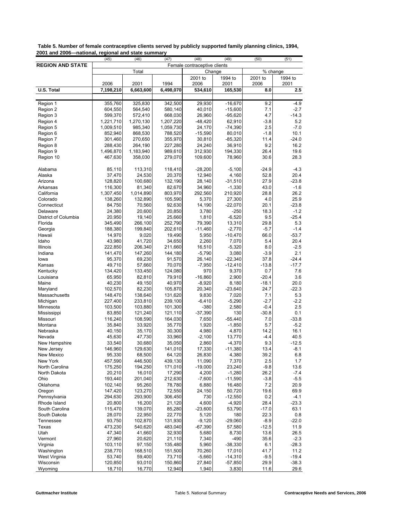|                                  | (45)               | (46)               | (47)               | (48)                         | (49)                   | (50)        | (51)              |
|----------------------------------|--------------------|--------------------|--------------------|------------------------------|------------------------|-------------|-------------------|
| <b>REGION AND STATE</b>          |                    |                    |                    | Female contraceptive clients |                        |             |                   |
|                                  |                    | Total              |                    |                              | Change                 |             | % change          |
|                                  |                    |                    |                    | 2001 to                      | 1994 to                | 2001 to     | 1994 to           |
|                                  | 2006               | 2001               | 1994               | 2006                         | 2001                   | 2006        | 2001              |
| U.S. Total                       | 7,198,210          | 6,663,600          | 6,498,070          | 534,610                      | 165,530                | 8.0         | 2.5               |
|                                  |                    |                    |                    |                              |                        | 9.2         | $-4.9$            |
| Region 1<br>Region 2             | 355,760<br>604,550 | 325,830<br>564,540 | 342,500<br>580,140 | 29,930<br>40,010             | $-16,670$<br>$-15,600$ | 7.1         | $-2.7$            |
| Region 3                         | 599,370            | 572,410            | 668,030            | 26,960                       | $-95,620$              | 4.7         | $-14.3$           |
| Region 4                         | 1,221,710          | 1,270,130          | 1,207,220          | $-48,420$                    | 62,910                 | $-3.8$      | 5.2               |
| Region 5                         | 1,009,510          | 985,340            | 1,059,730          | 24,170                       | $-74,390$              | 2.5         | $-7.0$            |
| Region 6                         | 852,940            | 868,530            | 788,520            | $-15,590$                    | 80,010                 | $-1.8$      | 10.1              |
| Region 7                         | 301,460            | 270,650            | 355,970            | 30,810                       | $-85,320$              | 11.4        | $-24.0$           |
| Region 8                         | 288,430            | 264,190            | 227,280            | 24,240                       | 36,910                 | 9.2         | 16.2              |
| Region 9                         | 1,496,870          | 1,183,940          | 989,610            | 312,930                      | 194,330                | 26.4        | 19.6              |
| Region 10                        | 467,630            | 358,030            | 279,070            | 109,600                      | 78,960                 | 30.6        | 28.3              |
|                                  |                    |                    |                    |                              |                        |             |                   |
| Alabama                          | 85,110             | 113,310            | 118,410            | $-28,200$                    | $-5,100$               | $-24.9$     | $-4.3$            |
| Alaska                           | 37,470             | 24,530             | 20,370             | 12,940                       | 4,160                  | 52.8        | 20.4              |
| Arizona                          | 128,820            | 100,680            | 132,190            | 28,140                       | $-31,510$              | 27.9        | $-23.8$           |
| Arkansas                         | 116,300            | 81,340             | 82,670             | 34,960                       | $-1,330$               | 43.0        | $-1.6$            |
| California                       | 1,307,450          | 1,014,890          | 803,970            | 292,560                      | 210,920                | 28.8        | 26.2              |
| Colorado                         | 138,260            | 132,890            | 105,590            | 5,370                        | 27,300                 | 4.0         | 25.9              |
| Connecticut                      | 84,750             | 70,560             | 92,630             | 14,190                       | $-22,070$<br>$-250$    | 20.1        | $-23.8$           |
| Delaware<br>District of Columbia | 24,380<br>20,950   | 20,600<br>19,140   | 20,850<br>25,660   | 3,780<br>1,810               | $-6,520$               | 18.3<br>9.5 | $-1.2$<br>$-25.4$ |
| Florida                          | 345,490            | 266,100            | 252,790            | 79,390                       | 13,310                 | 29.8        | 5.3               |
| Georgia                          | 188,380            | 199,840            | 202,610            | $-11,460$                    | $-2,770$               | $-5.7$      | $-1.4$            |
| Hawaii                           | 14,970             | 9,020              | 19,490             | 5,950                        | $-10,470$              | 66.0        | $-53.7$           |
| Idaho                            | 43,980             | 41,720             | 34,650             | 2,260                        | 7,070                  | 5.4         | 20.4              |
| Illinois                         | 222,850            | 206,340            | 211,660            | 16,510                       | $-5,320$               | 8.0         | $-2.5$            |
| Indiana                          | 141,470            | 147,260            | 144,180            | $-5,790$                     | 3,080                  | $-3.9$      | 2.1               |
| lowa                             | 95,370             | 69,230             | 91,570             | 26,140                       | $-22,340$              | 37.8        | $-24.4$           |
| Kansas                           | 49,710             | 57,660             | 70,070             | $-7,950$                     | $-12,410$              | $-13.8$     | $-17.7$           |
| Kentucky                         | 134,420            | 133,450            | 124,080            | 970                          | 9,370                  | 0.7         | 7.6               |
| Louisiana                        | 65,950             | 82,810             | 79,910             | $-16,860$                    | 2,900                  | $-20.4$     | 3.6               |
| Maine                            | 40,230             | 49,150             | 40,970             | $-8,920$                     | 8,180                  | $-18.1$     | 20.0              |
| Maryland                         | 102,570            | 82,230             | 105,870            | 20,340                       | $-23,640$              | 24.7        | $-22.3$           |
| Massachusetts                    | 148,470            | 138,640            | 131,620            | 9,830                        | 7,020                  | 7.1         | 5.3               |
| Michigan                         | 227,400            | 233,810            | 239,100            | $-6,410$                     | $-5,290$               | $-2.7$      | $-2.2$            |
| Minnesota                        | 103,500            | 103,880            | 101,300            | $-380$                       | 2,580                  | $-0.4$      | 2.5               |
| Mississippi                      | 83,850             | 121,240            | 121,110            | $-37,390$                    | 130                    | $-30.8$     | 0.1               |
| Missouri                         | 116,240            | 108,590            | 164,030            | 7,650                        | $-55,440$              | 7.0         | $-33.8$           |
| Montana                          | 35,840             | 33,920             | 35,770             | 1,920                        | $-1,850$               | 5.7         | $-5.2$            |
| Nebraska                         | 40,150             | 35,170             | 30,300             | 4,980                        | 4,870                  | 14.2        | 16.1              |
| Nevada                           | 45,630             | 47,730             | 33,960             | $-2,100$                     | 13,770                 | $-4.4$      | 40.5              |
| New Hampshire                    | 33,540             | 30,680             | 35,050<br>141,010  | 2,860                        | $-4,370$               | 9.3         | $-12.5$           |
| New Jersey                       | 146,960            | 129,630            |                    | 17,330                       | $-11,380$              | 13.4        | $-8.1$            |
| New Mexico<br>New York           | 95,330<br>457,590  | 68,500<br>446,500  | 64,120<br>439,130  | 26,830<br>11,090             | 4,380<br>7,370         | 39.2<br>2.5 | 6.8<br>1.7        |
| North Carolina                   | 175,250            | 194,250            | 171,010            | $-19,000$                    | 23,240                 | $-9.8$      | 13.6              |
| North Dakota                     | 20,210             | 16,010             | 17,290             | 4,200                        | $-1,280$               | 26.2        | $-7.4$            |
| Ohio                             | 193,440            | 201,040            | 212,630            | $-7,600$                     | $-11,590$              | $-3.8$      | $-5.5$            |
| Oklahoma                         | 102,140            | 95,260             | 78,780             | 6,880                        | 16,480                 | 7.2         | 20.9              |
| Oregon                           | 147,420            | 123,270            | 72,550             | 24,150                       | 50,720                 | 19.6        | 69.9              |
| Pennsylvania                     | 294,630            | 293,900            | 306,450            | 730                          | $-12,550$              | 0.2         | $-4.1$            |
| Rhode Island                     | 20,800             | 16,200             | 21,120             | 4,600                        | $-4,920$               | 28.4        | $-23.3$           |
| South Carolina                   | 115,470            | 139,070            | 85,280             | $-23,600$                    | 53,790                 | $-17.0$     | 63.1              |
| South Dakota                     | 28,070             | 22,950             | 22,770             | 5,120                        | 180                    | 22.3        | 0.8               |
| Tennessee                        | 93,750             | 102,870            | 131,930            | $-9,120$                     | $-29,060$              | $-8.9$      | $-22.0$           |
| Texas                            | 473,230            | 540,620            | 483,040            | $-67,390$                    | 57,580                 | $-12.5$     | 11.9              |
| Utah                             | 47,340             | 41,660             | 32,930             | 5,680                        | 8,730                  | 13.6        | 26.5              |
| Vermont                          | 27,960             | 20,620             | 21,110             | 7,340                        | $-490$                 | 35.6        | $-2.3$            |
| Virginia                         | 103,110            | 97,150             | 135,480            | 5,960                        | -38,330                | 6.1         | $-28.3$           |
| Washington                       | 238,770            | 168,510            | 151,500            | 70,260                       | 17,010                 | 41.7        | 11.2              |
| West Virginia                    | 53,740             | 59,400             | 73,710             | $-5,660$                     | $-14,310$              | $-9.5$      | $-19.4$           |
| Wisconsin                        | 120,850            | 93,010             | 150,860            | 27,840                       | $-57,850$              | 29.9        | $-38.3$           |
| Wyoming                          | 18,710             | 16,770             | 12,940             | 1,940                        | 3,830                  | 11.6        | 29.6              |

<span id="page-13-0"></span> **Table 5. Number of female contraceptive clients served by publicly supported family planning clinics, 1994, 2001 and 2006—national, regional and state summary**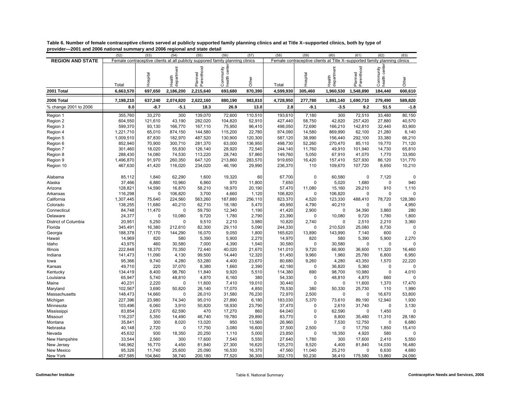|                         | (52)      | (53)                                                                          | (54)                 | (55)                  | (56)                       | (57)    | (58)      | (59)        | (60)                                                                      | (61)                  | (62)        | (63)     |
|-------------------------|-----------|-------------------------------------------------------------------------------|----------------------|-----------------------|----------------------------|---------|-----------|-------------|---------------------------------------------------------------------------|-----------------------|-------------|----------|
| <b>REGION AND STATE</b> |           | Female contraceptive clients at all publicly suppored family planning clinics |                      |                       |                            |         |           |             | Female contraceptive clients at Title X-supported family planning clinics |                       |             |          |
|                         | Total     | Hospital                                                                      | department<br>Health | Parenthood<br>Planned | Community<br>health center | Other   | Total     | Hospital    | department<br>Health                                                      | Parenthood<br>Planned | Community   | Other    |
| 2001 Total              | 6,663,570 | 697,650                                                                       | 2,186,200            | 2,215,640             | 693,680                    | 870,390 | 4.599.930 | 305,460     | 1,960,530                                                                 | 1,548,890             | 184,440     | 600,610  |
| 2006 Total              | 7,198,210 | 637,240                                                                       | 2,074,820            | 2,622,160             | 880,190                    | 983,810 | 4,728,950 | 277,780     | 1,891,140                                                                 | 1,690,710             | 279,490     | 589,820  |
| % change 2001 to 2006   | 8.0       | $-8.7$                                                                        | $-5.1$               | 18.3                  | 26.9                       | 13.0    | 2.8       | $-9.1$      | $-3.5$                                                                    | 9.2                   | 51.5        | $-1.8$   |
| Region 1                | 355,760   | 33,270                                                                        | 300                  | 139,070               | 72,600                     | 110,510 | 193.610   | 7,180       | 300                                                                       | 72,510                | 33,480      | 80,150   |
| Region 2                | 604,550   | 121,610                                                                       | 43,190               | 282,020               | 104,820                    | 52,910  | 427,440   | 58,750      | 42,820                                                                    | 257,420               | 27,880      | 40,570   |
| Region 3                | 599.370   | 93,130                                                                        | 166,770              | 167,110               | 75,950                     | 96,410  | 498.050   | 72,690      | 166,210                                                                   | 142,810               | 32,440      | 83,900   |
| Region 4                | 1,221,710 | 65,010                                                                        | 874,150              | 144,580               | 115,200                    | 22,780  | 974,090   | 14,580      | 869,990                                                                   | 62,100                | 21,280      | 6,140    |
| Region 5                | 1,009,510 | 87,830                                                                        | 182,970              | 487,520               | 130,900                    | 120,300 | 587,120   | 38,990      | 156,440                                                                   | 292,100               | 33,380      | 66,210   |
| Region 6                | 852,940   | 70,900                                                                        | 300,710              | 281,370               | 63,000                     | 136,950 | 498,730   | 52,260      | 270,470                                                                   | 85,110                | 19,770      | 71,120   |
| Region 7                | 301.460   | 18,020                                                                        | 55,830               | 126,140               | 28,920                     | 72,540  | 244,140   | 11,760      | 49,910                                                                    | 101,940               | 14,730      | 65,810   |
| Region 8                | 288,430   | 14,080                                                                        | 74,530               | 113,220               | 28,740                     | 57,860  | 149,760   | 5,050       | 67,910                                                                    | 41,070                | 1,770       | 33,950   |
| Region 9                | 1,496,870 | 91,970                                                                        | 260,350              | 647,120               | 213,860                    | 283,570 | 919,650   | 16,420      | 157,410                                                                   | 527,930               | 86,120      | 131,770  |
| Region 10               | 467,630   | 41,420                                                                        | 116,020              | 234,020               | 46,190                     | 29,990  | 236,370   | 110         | 109,670                                                                   | 107,720               | 8,650       | 10,210   |
|                         |           |                                                                               |                      |                       |                            |         |           |             |                                                                           |                       |             |          |
| Alabama                 | 85,112    | 1,840                                                                         | 62,290               | 1,600                 | 19,320                     | 60      | 67,700    | $\Omega$    | 60,580                                                                    | 0                     | 7,120       | $\Omega$ |
| Alaska                  | 37,466    | 6,880                                                                         | 10,960               | 6,860                 | 970                        | 11,800  | 7,650     | $\mathbf 0$ | 5,020                                                                     | 1,680                 | $\mathbf 0$ | 940      |
| Arizona                 | 128,821   | 14,590                                                                        | 16,870               | 58,210                | 18,970                     | 20,190  | 57,470    | 11,080      | 15,160                                                                    | 29,210                | 910         | 1.110    |
| Arkansas                | 116,298   | 0                                                                             | 106,820              | 3,700                 | 4,660                      | 1,120   | 106,820   | $\mathbf 0$ | 106,820                                                                   | 0                     | $\mathbf 0$ |          |
| California              | 1,307,445 | 75,640                                                                        | 224,560              | 563,260               | 187,880                    | 256,110 | 823,370   | 4,520       | 123,330                                                                   | 488,410               | 78,720      | 128,380  |
| Colorado                | 138,255   | 11,680                                                                        | 40,210               | 62,710                | 18,180                     | 5,470   | 49,950    | 4,790       | 40,210                                                                    | 0                     | $\mathbf 0$ | 4,950    |
| Connecticut             | 84,748    | 11,470                                                                        | 0                    | 59,750                | 12,340                     | 1,190   | 41,420    | 2,900       | $\mathbf 0$                                                               | 34,390                | 3,860       | 280      |
| Delaware                | 24,377    | 0                                                                             | 10,080               | 9,720                 | 1,780                      | 2,790   | 23,390    | $\mathbf 0$ | 10,080                                                                    | 9,720                 | 1,780       | 1,800    |
| District of Columbia    | 20,951    | 5,250                                                                         | $\Omega$             | 9,510                 | 2,210                      | 3,980   | 10,820    | 2,740       | $\mathbf 0$                                                               | 2,510                 | 2,210       | 3,360    |
| Florida                 | 345,491   | 16,380                                                                        | 212,610              | 82,300                | 29,110                     | 5,090   | 244,330   | $\mathbf 0$ | 210,520                                                                   | 25,080                | 8,730       | $\Omega$ |
| Georgia                 | 188,378   | 17,170                                                                        | 144,290              | 16,070                | 9,050                      | 1,800   | 165,620   | 13,890      | 143,990                                                                   | 7,140                 | 600         |          |
| Hawaii                  | 14,969    | 820                                                                           | 580                  | 5,390                 | 5,900                      | 2,270   | 14,970    | 820         | 580                                                                       | 5,390                 | 5,900       | 2,270    |
| Idaho                   | 43,975    | 460                                                                           | 30,580               | 7,000                 | 4,390                      | 1,540   | 30,580    | 0           | 30,580                                                                    | 0                     | 0           | $\Omega$ |
| Illinois                | 222,848   | 18,370                                                                        | 70,350               | 72,440                | 40,020                     | 21,670  | 141,010   | 9,720       | 66,900                                                                    | 36,600                | 11,320      | 16,460   |
| Indiana                 | 141,473   | 11,090                                                                        | 4,130                | 99,500                | 14,440                     | 12,320  | 51,450    | 9,960       | 1,960                                                                     | 25,780                | 6,800       | 6,950    |
| lowa                    | 95,366    | 9,740                                                                         | 4,280                | 53,280                | 4,400                      | 23,670  | 80,680    | 9,260       | 4,280                                                                     | 43,350                | 1,570       | 22,220   |
| Kansas                  | 49,710    | 220                                                                           | 37,070               | 8,380                 | 1,660                      | 2,390   | 42,180    | $\mathbf 0$ | 36,820                                                                    | 5,360                 | $\mathbf 0$ |          |
| Kentucky                | 134,419   | 8,400                                                                         | 98,760               | 11,840                | 9,920                      | 5,510   | 114,380   | 690         | 98,700                                                                    | 10,980                | $\mathbf 0$ | 4,010    |
| Louisiana               | 65,947    | 5,740                                                                         | 48,810               | 4,870                 | 6,160                      | 380     | 54,330    | $\mathbf 0$ | 48,810                                                                    | 4,870                 | 660         |          |
| Maine                   | 40,231    | 2,220                                                                         | $\Omega$             | 11,600                | 7,410                      | 19,010  | 30,440    | $\mathbf 0$ | $\mathbf 0$                                                               | 11,600                | 1,370       | 17,470   |
| Maryland                | 102,567   | 3,690                                                                         | 50,820               | 26,140                | 17,070                     | 4,850   | 78,530    | 380         | 50,330                                                                    | 25,730                | 110         | 1,990    |
| Massachusetts           | 148,473   | 14,660                                                                        | 0                    | 26,010                | 31,580                     | 76,230  | 72,970    | 2,500       | $\mathbf 0$                                                               | $\mathbf 0$           | 16,670      | 53,800   |
| Michigan                | 227,396   | 23,980                                                                        | 74,340               | 95,010                | 27,890                     | 6,180   | 183,030   | 5,370       | 73,610                                                                    | 89,190                | 12,940      | 1,930    |
| Minnesota               | 103,496   | 6,060                                                                         | 3,910                | 50,820                | 18,930                     | 23,790  | 37,470    | 0           | 2,610                                                                     | 31,740                | $\mathbf 0$ | 3,130    |
| Mississippi             | 83,854    | 2,670                                                                         | 62,590               | 470                   | 17,270                     | 860     | 64,040    | 0           | 62,590                                                                    | $\mathbf 0$           | 1,450       | $\Omega$ |
| Missouri                | 116,237   | 5,350                                                                         | 14,490               | 46,740                | 19,780                     | 29,890  | 83,770    | 0           | 8,800                                                                     | 35,480                | 11,310      | 28,180   |
| Montana                 | 35,841    | 300                                                                           | 8,020                | 13,020                | 950                        | 13,560  | 26,960    | $\mathbf 0$ | 7,530                                                                     | 12,750                | $\mathbf 0$ | 6,680    |
| Nebraska                | 40,148    | 2,720                                                                         | 0                    | 17,750                | 3,080                      | 16,600  | 37,500    | 2,500       | 0                                                                         | 17,750                | 1,850       | 15,410   |
| Nevada                  | 45,632    | 930                                                                           | 18,350               | 20,250                | 1,110                      | 5,000   | 23,850    | $\mathbf 0$ | 18,350                                                                    | 4,920                 | 580         |          |
| New Hampshire           | 33,544    | 2,560                                                                         | 300                  | 17,600                | 7,540                      | 5,550   | 27,640    | 1,780       | 300                                                                       | 17,600                | 2,410       | 5,550    |
| New Jersey              | 146,962   | 16,770                                                                        | 4,450                | 81,840                | 27,300                     | 16,620  | 125,270   | 8,520       | 4,400                                                                     | 81,840                | 14,030      | 16,480   |
| New Mexico              | 95,326    | 11,740                                                                        | 25,600               | 25,090                | 16,530                     | 16,370  | 47,560    | 11,040      | 25,210                                                                    | $\mathbf 0$           | 6,630       | 4,680    |
| New York                | 457,585   | 104,840                                                                       | 38,740               | 200,180               | 77,520                     | 36,300  | 302,170   | 50,230      | 38,410                                                                    | 175,580               | 13,860      | 24,090   |

<span id="page-14-0"></span>**Table 6. Number of female contraceptive clients served at publicly supported family planning clinics and at Title X–supported clinics, both by type of provider—2001 and 2006 national summary and 2006 regional and state detail**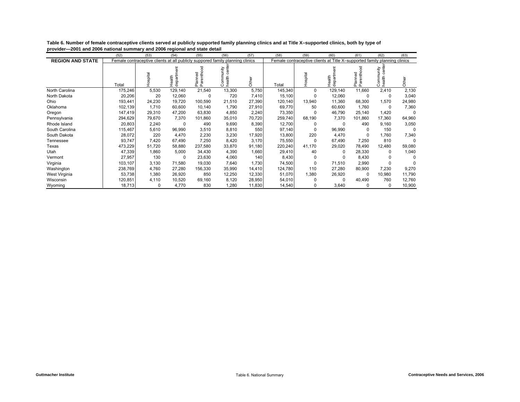|                         | (52)    | (53)                                                                          | (54)                 | (55)                  | (56)                          | (57)   | (58)    | (59)     | (60)                                                                      | (61)                  | (62)                          | (63)     |
|-------------------------|---------|-------------------------------------------------------------------------------|----------------------|-----------------------|-------------------------------|--------|---------|----------|---------------------------------------------------------------------------|-----------------------|-------------------------------|----------|
| <b>REGION AND STATE</b> |         | Female contraceptive clients at all publicly suppored family planning clinics |                      |                       |                               |        |         |          | Female contraceptive clients at Title X-supported family planning clinics |                       |                               |          |
|                         | Total   | Hospital                                                                      | Health<br>department | Planned<br>Parenthood | center<br>Community<br>health | Other  | Total   | Hospital | Health<br>department                                                      | Planned<br>Parenthood | center<br>Community<br>health | Other    |
| North Carolina          | 175,246 | 5,530                                                                         | 129,140              | 21,540                | 13,300                        | 5,750  | 145,340 | 0        | 129,140                                                                   | 11,660                | 2,410                         | 2,130    |
| North Dakota            | 20,206  | 20                                                                            | 12,060               | 0                     | 720                           | 7,410  | 15,100  | 0        | 12,060                                                                    | $\Omega$              | 0                             | 3,040    |
| Ohio                    | 193.441 | 24,230                                                                        | 19,720               | 100,590               | 21,510                        | 27,390 | 120,140 | 13,940   | 11,360                                                                    | 68,300                | 1,570                         | 24,980   |
| Oklahoma                | 102,139 | 1,710                                                                         | 60,600               | 10,140                | 1,790                         | 27,910 | 69,770  | 50       | 60,600                                                                    | 1,760                 | $\Omega$                      | 7,360    |
| Oregon                  | 147,419 | 29,310                                                                        | 47,200               | 63,830                | 4,850                         | 2,240  | 73,350  | 0        | 46,790                                                                    | 25,140                | 1,420                         |          |
| Pennsylvania            | 294,629 | 79,670                                                                        | 7,370                | 101,860               | 35,010                        | 70,720 | 259,740 | 68,190   | 7,370                                                                     | 101,860               | 17,360                        | 64,960   |
| Rhode Island            | 20,803  | 2,240                                                                         | $\Omega$             | 490                   | 9,690                         | 8,390  | 12,700  | 0        | $\Omega$                                                                  | 490                   | 9,160                         | 3,050    |
| South Carolina          | 115,467 | 5,610                                                                         | 96,990               | 3,510                 | 8,810                         | 550    | 97,140  | 0        | 96,990                                                                    | $\Omega$              | 150                           | $\Omega$ |
| South Dakota            | 28,072  | 220                                                                           | 4,470                | 2,230                 | 3,230                         | 17,920 | 13,800  | 220      | 4,470                                                                     | $\Omega$              | 1,760                         | 7,340    |
| Tennessee               | 93,747  | 7,420                                                                         | 67,490               | 7,250                 | 8,420                         | 3,170  | 75,550  | 0        | 67,490                                                                    | 7,250                 | 810                           | $\Omega$ |
| Texas                   | 473,229 | 51,720                                                                        | 58,880               | 237,580               | 33,870                        | 91,180 | 220,240 | 41,170   | 29,020                                                                    | 78,490                | 12,480                        | 59,080   |
| Utah                    | 47,339  | 1,860                                                                         | 5,000                | 34,430                | 4,390                         | 1,660  | 29,410  | 40       | O                                                                         | 28,330                | 0                             | 1,040    |
| Vermont                 | 27,957  | 130                                                                           | 0                    | 23,630                | 4,060                         | 140    | 8,430   | 0        | O                                                                         | 8,430                 | 0                             | $\Omega$ |
| Virginia                | 103,107 | 3,130                                                                         | 71,580               | 19,030                | 7,640                         | 1,730  | 74,500  | 0        | 71,510                                                                    | 2,990                 | 0                             |          |
| Washington              | 238,769 | 4,760                                                                         | 27,280               | 156,330               | 35,990                        | 14,410 | 124,780 | 110      | 27,280                                                                    | 80,900                | 7,230                         | 9,270    |
| West Virginia           | 53,738  | 1,380                                                                         | 26,920               | 850                   | 12,250                        | 12,330 | 51,070  | 1,380    | 26,920                                                                    | $\Omega$              | 10,980                        | 11,790   |
| Wisconsin               | 120,851 | 4,110                                                                         | 10,520               | 69,160                | 8,120                         | 28,950 | 54,010  | 0        | $\Omega$                                                                  | 40,490                | 760                           | 12,760   |
| Wyoming                 | 18,713  | 0                                                                             | 4,770                | 830                   | 1,280                         | 11,830 | 14,540  | 0        | 3,640                                                                     |                       | 0                             | 10,900   |

**Table 6. Number of female contraceptive clients served at publicly supported family planning clinics and at Title X–supported clinics, both by type of provider—2001 and 2006 national summary and 2006 regional and state detail**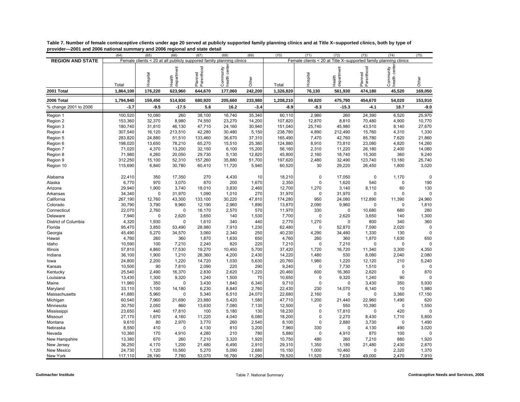|                         | (64)                                                                 | (65)     | (66)                 | (67)                  | (68)                       | (69)    | (70)      | (71)        | (72)                 | (73)                                                             | (74)                       | (75)     |  |  |
|-------------------------|----------------------------------------------------------------------|----------|----------------------|-----------------------|----------------------------|---------|-----------|-------------|----------------------|------------------------------------------------------------------|----------------------------|----------|--|--|
| <b>REGION AND STATE</b> | Female clients < 20 at all publicly suppored family planning clinics |          |                      |                       |                            |         |           |             |                      | Female clients < 20 at Title X-supported family planning clinics |                            |          |  |  |
|                         | Total                                                                | Hospital | department<br>Health | Planned<br>Parenthood | Community<br>health center | Other   | Total     | Hospital    | Health<br>department | Planned<br>Parenthood                                            | Community<br>health center | Other    |  |  |
| 2001 Total              | 1,864,100                                                            | 176,220  | 623,960              | 644,670               | 177,060                    | 242,200 | 1,326,820 | 76,130      | 561,930              | 474,180                                                          | 45,520                     | 169,050  |  |  |
| 2006 Total              | 1,794,940                                                            | 159,450  | 514,930              | 680,920               | 205,660                    | 233,980 | 1,208,210 | 69,820      | 475,790              | 454,670                                                          | 54,020                     | 153,910  |  |  |
| % change 2001 to 2006   | $-3.7$                                                               | $-9.5$   | $-17.5$              | 5.6                   | 16.2                       | $-3.4$  | $-8.9$    | $-8.3$      | $-15.3$              | $-4.1$                                                           | 18.7                       | $-9.0$   |  |  |
| Region 1                | 100,520                                                              | 10,080   | 260                  | 38,100                | 16,740                     | 35,340  | 60,110    | 2,980       | 260                  | 24,390                                                           | 6,520                      | 25,970   |  |  |
| Region 2                | 153,360                                                              | 32,370   | 8,980                | 74,550                | 23,270                     | 14,200  | 107,820   | 12,870      | 8,810                | 70,480                                                           | 4,900                      | 10,770   |  |  |
| Region 3                | 180,740                                                              | 31,810   | 46,130               | 47,710                | 24,160                     | 30,940  | 151,040   | 25,740      | 45,980               | 43,510                                                           | 8,140                      | 27,670   |  |  |
| Region 4                | 307,540                                                              | 16,120   | 213,510              | 42,280                | 30,480                     | 5,150   | 238,780   | 4,890       | 212,490              | 15,760                                                           | 4,310                      | 1,330    |  |  |
| Region 5                | 283,820                                                              | 24,880   | 51,510               | 133,460               | 36,670                     | 37,310  | 165,490   | 7,470       | 42,760               | 85,780                                                           | 7,620                      | 21,860   |  |  |
| Region 6                | 198,020                                                              | 13,650   | 78,210               | 65,270                | 15,510                     | 25,380  | 124,880   | 8,910       | 73,810               | 23,080                                                           | 4,820                      | 14,260   |  |  |
| Region 7                | 71,020                                                               | 4,370    | 13,200               | 32,150                | 6,100                      | 15,200  | 56,160    | 2,310       | 11,220               | 26,180                                                           | 2,400                      | 14,060   |  |  |
| Region 8                | 71,980                                                               | 4,260    | 20,050               | 29,730                | 5,130                      | 12,820  | 45,800    | 2,160       | 18,740               | 15,300                                                           | 360                        | 9,240    |  |  |
| Region 9                | 312,250                                                              | 15,100   | 52,310               | 157,260               | 35,880                     | 51,700  | 197,620   | 2,480       | 32,490               | 123,740                                                          | 13,180                     | 25,740   |  |  |
| Region 10               | 115,690                                                              | 6,840    | 30,780               | 60,410                | 11,720                     | 5,940   | 60,520    | 30          | 29,220               | 26,450                                                           | 1,800                      | 3,020    |  |  |
|                         |                                                                      |          |                      |                       |                            |         |           |             |                      |                                                                  |                            |          |  |  |
| Alabama                 | 22,410                                                               | 350      | 17,350               | 270                   | 4,430                      | 10      | 18,210    | $\mathbf 0$ | 17,050               | $\mathbf 0$                                                      | 1,170                      | 0        |  |  |
| Alaska                  | 6,770                                                                | 970      | 3,070                | 870                   | 200                        | 1,670   | 2,350     | $\mathbf 0$ | 1,620                | 540                                                              | $\mathbf 0$                | 190      |  |  |
| Arizona                 | 29,940                                                               | 1,900    | 3,740                | 18,010                | 3,830                      | 2,460   | 12,700    | 1,270       | 3,140                | 8,110                                                            | 60                         | 130      |  |  |
| Arkansas                | 34,340                                                               | 0        | 31,970               | 1,090                 | 1,010                      | 270     | 31,970    | $\mathbf 0$ | 31,970               | $\mathbf 0$                                                      | $\mathbf 0$                | $\Omega$ |  |  |
| California              | 267,190                                                              | 12,760   | 43,300               | 133,100               | 30,220                     | 47,810  | 174,280   | 950         | 24,080               | 112,890                                                          | 11,390                     | 24,960   |  |  |
| Colorado                | 30,790                                                               | 3,790    | 9,960                | 12,190                | 2,960                      | 1,890   | 13,870    | 2,090       | 9,960                | $\mathbf C$                                                      | $\mathbf 0$                | 1,810    |  |  |
| Connecticut             | 22,070                                                               | 2,760    | $\mathbf 0$          | 16,170                | 2,570                      | 570     | 11,970    | 330         | $\mathbf 0$          | 10,680                                                           | 680                        | 280      |  |  |
| Delaware                | 7,940                                                                | $\Omega$ | 2,620                | 3,650                 | 140                        | 1,530   | 7,700     | $\Omega$    | 2,620                | 3,650                                                            | 140                        | 1,300    |  |  |
| District of Columbia    | 4,320                                                                | 1,930    | $\mathbf 0$          | 1,610                 | 340                        | 440     | 2,770     | 1,270       | $\Omega$             | 800                                                              | 340                        | 360      |  |  |
| Florida                 | 95,470                                                               | 3,850    | 53,490               | 28,980                | 7,910                      | 1,230   | 62,480    | $\Omega$    | 52,870               | 7,590                                                            | 2,020                      | $\Omega$ |  |  |
| Georgia                 | 45,490                                                               | 5,270    | 34,570               | 3,060                 | 2,340                      | 250     | 40,230    | 4,290       | 34,480               | 1,330                                                            | 130                        | $\Omega$ |  |  |
| Hawaii                  | 4,760                                                                | 260      | 360                  | 1,870                 | 1,630                      | 650     | 4,760     | 260         | 360                  | 1,870                                                            | 1,630                      | 650      |  |  |
| Idaho                   | 10,590                                                               | 100      | 7,210                | 2,240                 | 820                        | 220     | 7,210     | $\mathbf 0$ | 7,210                | $\mathbf 0$                                                      | $\mathbf 0$                | $\Omega$ |  |  |
| Illinois                | 57,810                                                               | 4,860    | 17,530               | 19,270                | 10,450                     | 5,700   | 37,420    | 1,720       | 16,720               | 11,340                                                           | 3,300                      | 4,350    |  |  |
| Indiana                 | 36,100                                                               | 1,900    | 1,210                | 26,360                | 4,200                      | 2,430   | 14,220    | 1,480       | 530                  | 8,080                                                            | 2,040                      | 2,080    |  |  |
| lowa                    | 24,800                                                               | 2,200    | 1,220                | 14,720                | 1,030                      | 5,630   | 20,760    | 1,980       | 1,220                | 12,120                                                           | 210                        | 5,240    |  |  |
| Kansas                  | 10,500                                                               | 90       | 7,810                | 2,090                 | 220                        | 290     | 9,240     | 0           | 7,730                | 1,510                                                            | $\mathbf 0$                |          |  |  |
| Kentucky                | 25,540                                                               | 2,490    | 16,370               | 2,830                 | 2,620                      | 1,220   | 20,460    | 600         | 16,360               | 2,620                                                            | $\mathbf 0$                | 870      |  |  |
| Louisiana               | 13,430                                                               | 1,300    | 9,320                | 1,240                 | 1,500                      | 70      | 10,650    | $\Omega$    | 9,320                | 1,240                                                            | 90                         |          |  |  |
| Maine                   | 11,960                                                               | 350      | $\mathbf 0$          | 3,430                 | 1.840                      | 6,340   | 9,710     | $\Omega$    | $\mathbf 0$          | 3,430                                                            | 350                        | 5,930    |  |  |
| Maryland                | 33,110                                                               | 1,100    | 14,180               | 6,230                 | 8,840                      | 2,760   | 22,430    | 230         | 14,070               | 6,140                                                            | 10                         | 1,980    |  |  |
| Massachusetts           | 41,880                                                               | 5,960    | $\mathbf 0$          | 5,340                 | 6,510                      | 24,070  | 22,680    | 2,160       | $\mathbf 0$          | $\Omega$                                                         | 3,360                      | 17,150   |  |  |
| Michigan                | 60,540                                                               | 7,960    | 21,690               | 23,880                | 5,420                      | 1,580   | 47,710    | 1,200       | 21,440               | 22,960                                                           | 1,490                      | 620      |  |  |
| Minnesota               | 30,750                                                               | 2,050    | 860                  | 13,630                | 7,080                      | 7,130   | 12,500    | $\mathbf 0$ | 550                  | 10,390                                                           | $\mathbf 0$                | 1,550    |  |  |
| Mississippi             | 23,650                                                               | 440      | 17,810               | 100                   | 5,180                      | 130     | 18,230    | $\mathbf 0$ | 17,810               | $\mathbf 0$                                                      | 420                        | $\Omega$ |  |  |
| Missouri                | 27,170                                                               | 1,670    | 4,160                | 11,220                | 4,040                      | 6,080   | 18,200    | $\mathbf 0$ | 2,270                | 8,430                                                            | 1,710                      | 5,800    |  |  |
| Montana                 | 9,610                                                                | 80       | 2,970                | 3,770                 | 260                        | 2,540   | 8,100     | $\mathbf 0$ | 2,880                | 3,730                                                            | $\mathbf 0$                | 1,490    |  |  |
| Nebraska                | 8,550                                                                | 410      | 0                    | 4,130                 | 810                        | 3,200   | 7,960     | 330         | $\mathbf 0$          | 4,130                                                            | 490                        | 3,020    |  |  |
| Nevada                  | 10,360                                                               | 170      | 4,910                | 4,280                 | 210                        | 780     | 5,880     | $\mathbf 0$ | 4,910                | 870                                                              | 100                        | 0        |  |  |
| New Hampshire           | 13,380                                                               | 670      | 260                  | 7,210                 | 3,320                      | 1,920   | 10,750    | 480         | 260                  | 7,210                                                            | 880                        | 1,920    |  |  |
| New Jersey              | 36,250                                                               | 4,170    | 1,200                | 21,480                | 6,490                      | 2,910   | 29,310    | 1,350       | 1,180                | 21.480                                                           | 2,430                      | 2,870    |  |  |
| New Mexico              | 24,730                                                               | 1,120    | 10,560               | 5,270                 | 5,090                      | 2,680   | 15,150    | 1,000       | 10,460               | $\mathbf 0$                                                      | 2,320                      | 1,370    |  |  |
| New York                | 117,110                                                              | 28,190   | 7,780                | 53,070                | 16,780                     | 11,290  | 78,520    | 11,520      | 7,630                | 49,000                                                           | 2,470                      | 7,910    |  |  |

<span id="page-16-0"></span>**Table 7. Number of female contraceptive clients under age 20 served at publicly supported family planning clinics and at Title X–supported clinics, both by type of provider—2001 and 2006 national summary and 2006 regional and state detail**